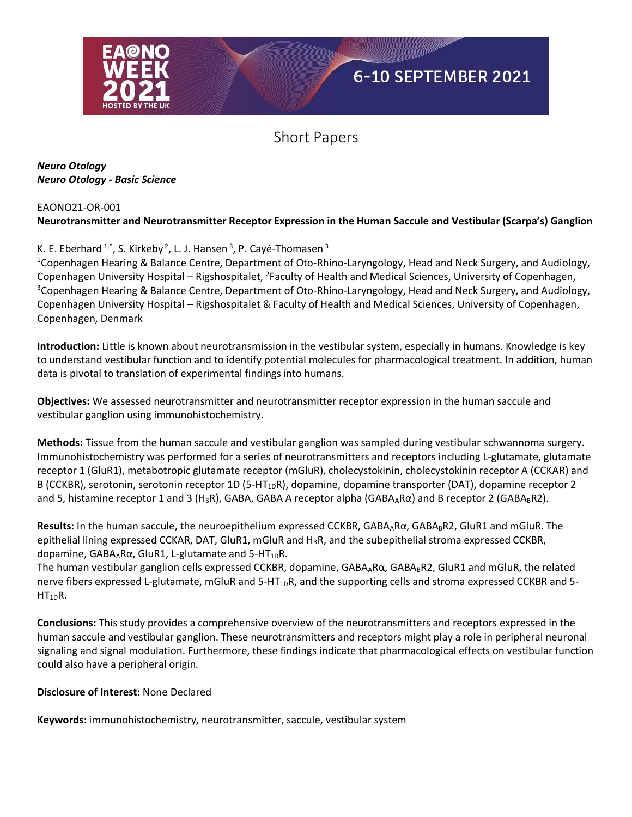

#### *Neuro Otology Neuro Otology - Basic Science*

#### EAONO21-OR-001 **Neurotransmitter and Neurotransmitter Receptor Expression in the Human Saccule and Vestibular (Scarpa's) Ganglion**

#### K. E. Eberhard  $1, 1, 1$ , S. Kirkeby  $^2$ , L. J. Hansen  $^3$ , P. Cayé-Thomasen  $^3$

<sup>1</sup>Copenhagen Hearing & Balance Centre, Department of Oto-Rhino-Laryngology, Head and Neck Surgery, and Audiology, Copenhagen University Hospital – Rigshospitalet, <sup>2</sup>Faculty of Health and Medical Sciences, University of Copenhagen, <sup>3</sup>Copenhagen Hearing & Balance Centre, Department of Oto-Rhino-Laryngology, Head and Neck Surgery, and Audiology, Copenhagen University Hospital – Rigshospitalet & Faculty of Health and Medical Sciences, University of Copenhagen, Copenhagen, Denmark

**Introduction:** Little is known about neurotransmission in the vestibular system, especially in humans. Knowledge is key to understand vestibular function and to identify potential molecules for pharmacological treatment. In addition, human data is pivotal to translation of experimental findings into humans.

**Objectives:** We assessed neurotransmitter and neurotransmitter receptor expression in the human saccule and vestibular ganglion using immunohistochemistry.

**Methods:** Tissue from the human saccule and vestibular ganglion was sampled during vestibular schwannoma surgery. Immunohistochemistry was performed for a series of neurotransmitters and receptors including L-glutamate, glutamate receptor 1 (GluR1), metabotropic glutamate receptor (mGluR), cholecystokinin, cholecystokinin receptor A (CCKAR) and B (CCKBR), serotonin, serotonin receptor 1D (5-HT<sub>1D</sub>R), dopamine, dopamine transporter (DAT), dopamine receptor 2 and 5, histamine receptor 1 and 3 (H<sub>3</sub>R), GABA, GABA A receptor alpha (GABA<sub>A</sub>Rα) and B receptor 2 (GABA<sub>B</sub>R2).

Results: In the human saccule, the neuroepithelium expressed CCKBR, GABA<sub>A</sub>Rα, GABA<sub>B</sub>R2, GluR1 and mGluR. The epithelial lining expressed CCKAR, DAT, GluR1, mGluR and H<sub>3</sub>R, and the subepithelial stroma expressed CCKBR, dopamine,  $GABA_AR\alpha$ , GluR1, L-glutamate and 5-HT<sub>1D</sub>R.

The human vestibular ganglion cells expressed CCKBR, dopamine, GABA<sub>A</sub>Rα, GABA<sub>B</sub>R2, GluR1 and mGluR, the related nerve fibers expressed L-glutamate, mGluR and 5-HT<sub>1D</sub>R, and the supporting cells and stroma expressed CCKBR and 5-HT<sub>1D</sub>R.

**Conclusions:** This study provides a comprehensive overview of the neurotransmitters and receptors expressed in the human saccule and vestibular ganglion. These neurotransmitters and receptors might play a role in peripheral neuronal signaling and signal modulation. Furthermore, these findings indicate that pharmacological effects on vestibular function could also have a peripheral origin.

#### **Disclosure of Interest**: None Declared

**Keywords**: immunohistochemistry, neurotransmitter, saccule, vestibular system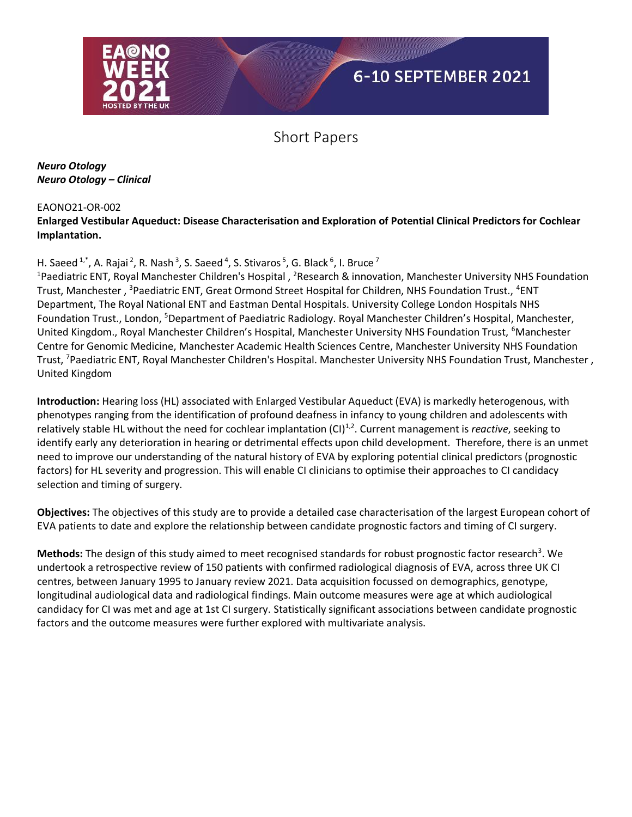

### Short Papers

#### *Neuro Otology Neuro Otology – Clinical*

#### EAONO21-OR-002

#### **Enlarged Vestibular Aqueduct: Disease Characterisation and Exploration of Potential Clinical Predictors for Cochlear Implantation.**

#### H. Saeed  $^{1,*}$ , A. Rajai  $^2$ , R. Nash  $^3$ , S. Saeed  $^4$ , S. Stivaros  $^5$ , G. Black  $^6$ , I. Bruce  $^7$

<sup>1</sup>Paediatric ENT, Royal Manchester Children's Hospital, <sup>2</sup>Research & innovation, Manchester University NHS Foundation Trust, Manchester , <sup>3</sup>Paediatric ENT, Great Ormond Street Hospital for Children, NHS Foundation Trust., <sup>4</sup>ENT Department, The Royal National ENT and Eastman Dental Hospitals. University College London Hospitals NHS Foundation Trust., London, <sup>5</sup>Department of Paediatric Radiology. Royal Manchester Children's Hospital, Manchester, United Kingdom., Royal Manchester Children's Hospital, Manchester University NHS Foundation Trust, <sup>6</sup>Manchester Centre for Genomic Medicine, Manchester Academic Health Sciences Centre, Manchester University NHS Foundation Trust, <sup>7</sup>Paediatric ENT, Royal Manchester Children's Hospital. Manchester University NHS Foundation Trust, Manchester , United Kingdom

**Introduction:** Hearing loss (HL) associated with Enlarged Vestibular Aqueduct (EVA) is markedly heterogenous, with phenotypes ranging from the identification of profound deafness in infancy to young children and adolescents with relatively stable HL without the need for cochlear implantation (CI)<sup>1,2</sup>. Current management is *reactive*, seeking to identify early any deterioration in hearing or detrimental effects upon child development. Therefore, there is an unmet need to improve our understanding of the natural history of EVA by exploring potential clinical predictors (prognostic factors) for HL severity and progression. This will enable CI clinicians to optimise their approaches to CI candidacy selection and timing of surgery.

**Objectives:** The objectives of this study are to provide a detailed case characterisation of the largest European cohort of EVA patients to date and explore the relationship between candidate prognostic factors and timing of CI surgery.

Methods: The design of this study aimed to meet recognised standards for robust prognostic factor research<sup>3</sup>. We undertook a retrospective review of 150 patients with confirmed radiological diagnosis of EVA, across three UK CI centres, between January 1995 to January review 2021. Data acquisition focussed on demographics, genotype, longitudinal audiological data and radiological findings. Main outcome measures were age at which audiological candidacy for CI was met and age at 1st CI surgery. Statistically significant associations between candidate prognostic factors and the outcome measures were further explored with multivariate analysis.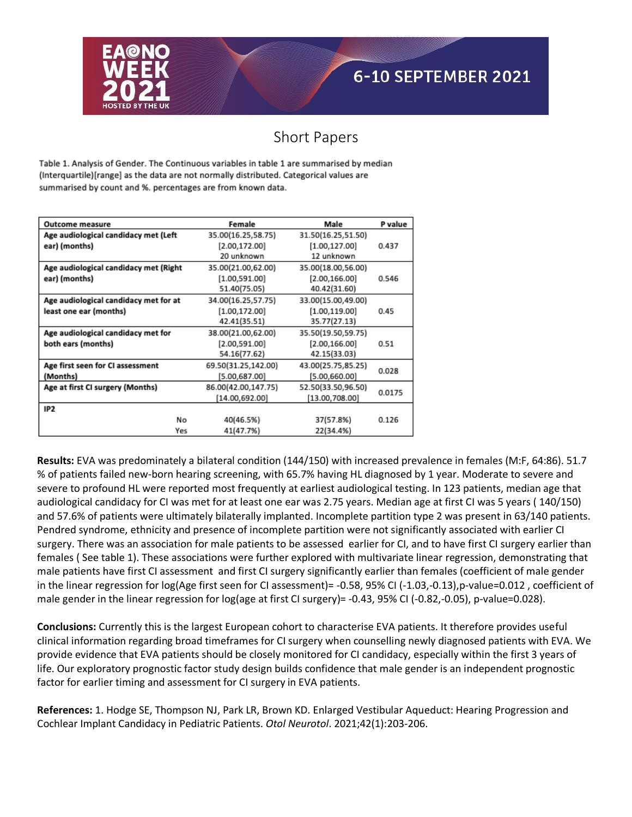

### Short Papers

Table 1. Analysis of Gender. The Continuous variables in table 1 are summarised by median (Interquartile)[range] as the data are not normally distributed. Categorical values are summarised by count and %. percentages are from known data.

| <b>Outcome measure</b>                | Female              | Male               | P value |
|---------------------------------------|---------------------|--------------------|---------|
| Age audiological candidacy met (Left  | 35.00(16.25,58.75)  | 31.50(16.25,51.50) |         |
| ear) (months)                         | [2.00, 172.00]      | [1.00, 127.00]     | 0.437   |
|                                       | 20 unknown          | 12 unknown         |         |
| Age audiological candidacy met (Right | 35.00(21.00,62.00)  | 35.00(18.00,56.00) |         |
| ear) (months)                         | [1.00, 591.00]      | [2.00, 166.00]     | 0.546   |
|                                       | 51.40(75.05)        | 40.42(31.60)       |         |
| Age audiological candidacy met for at | 34.00(16.25,57.75)  | 33.00(15.00,49.00) |         |
| least one ear (months)                | [1.00, 172.00]      | [1.00, 119.00]     | 0.45    |
|                                       | 42.41(35.51)        | 35.77(27.13)       |         |
| Age audiological candidacy met for    | 38.00(21.00,62.00)  | 35.50(19.50,59.75) |         |
| both ears (months)                    | [2.00, 591.00]      | [2.00, 166.00]     | 0.51    |
|                                       | 54.16(77.62)        | 42.15(33.03)       |         |
| Age first seen for CI assessment      | 69.50(31.25,142.00) | 43.00(25.75,85.25) | 0.028   |
| (Months)                              | [5.00,687.00]       | [5.00, 660.00]     |         |
| Age at first CI surgery (Months)      | 86.00(42.00,147.75) | 52.50(33.50,96.50) | 0.0175  |
|                                       | [14.00, 692.00]     | [13.00, 708.00]    |         |
| IP <sub>2</sub>                       |                     |                    |         |
| No                                    | 40(46.5%)           | 37(57.8%)          | 0.126   |
| Yes                                   | 41(47.7%)           | 22(34.4%)          |         |

**Results:** EVA was predominately a bilateral condition (144/150) with increased prevalence in females (M:F, 64:86). 51.7 % of patients failed new-born hearing screening, with 65.7% having HL diagnosed by 1 year. Moderate to severe and severe to profound HL were reported most frequently at earliest audiological testing. In 123 patients, median age that audiological candidacy for CI was met for at least one ear was 2.75 years. Median age at first CI was 5 years ( 140/150) and 57.6% of patients were ultimately bilaterally implanted. Incomplete partition type 2 was present in 63/140 patients. Pendred syndrome, ethnicity and presence of incomplete partition were not significantly associated with earlier CI surgery. There was an association for male patients to be assessed earlier for CI, and to have first CI surgery earlier than females ( See table 1). These associations were further explored with multivariate linear regression, demonstrating that male patients have first CI assessment and first CI surgery significantly earlier than females (coefficient of male gender in the linear regression for log(Age first seen for CI assessment) = -0.58, 95% CI (-1.03,-0.13), p-value=0.012, coefficient of male gender in the linear regression for log(age at first CI surgery) = -0.43, 95% CI (-0.82,-0.05), p-value=0.028).

**Conclusions:** Currently this is the largest European cohort to characterise EVA patients. It therefore provides useful clinical information regarding broad timeframes for CI surgery when counselling newly diagnosed patients with EVA. We provide evidence that EVA patients should be closely monitored for CI candidacy, especially within the first 3 years of life. Our exploratory prognostic factor study design builds confidence that male gender is an independent prognostic factor for earlier timing and assessment for CI surgery in EVA patients.

**References:** 1. Hodge SE, Thompson NJ, Park LR, Brown KD. Enlarged Vestibular Aqueduct: Hearing Progression and Cochlear Implant Candidacy in Pediatric Patients. *Otol Neurotol*. 2021;42(1):203-206.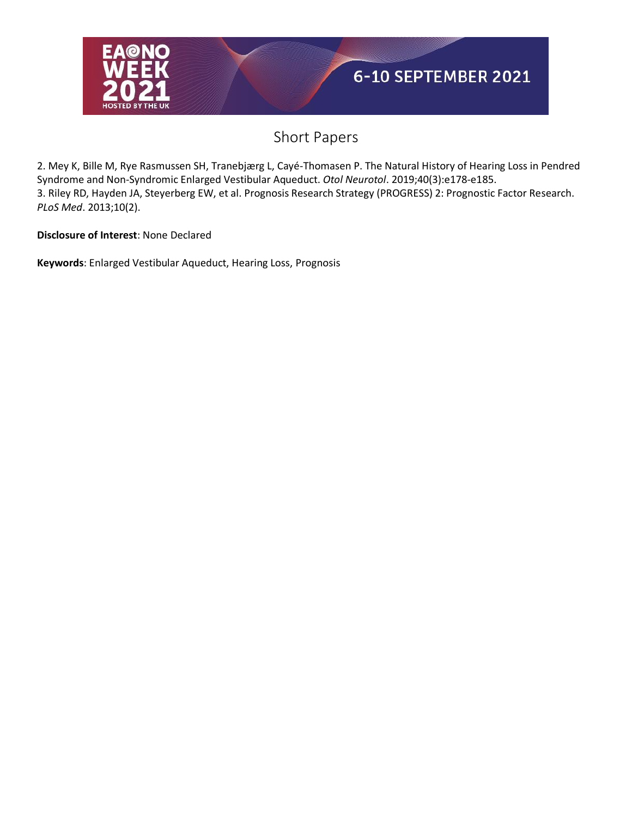

2. Mey K, Bille M, Rye Rasmussen SH, Tranebjærg L, Cayé-Thomasen P. The Natural History of Hearing Loss in Pendred Syndrome and Non-Syndromic Enlarged Vestibular Aqueduct. *Otol Neurotol*. 2019;40(3):e178-e185. 3. Riley RD, Hayden JA, Steyerberg EW, et al. Prognosis Research Strategy (PROGRESS) 2: Prognostic Factor Research. *PLoS Med*. 2013;10(2).

**Disclosure of Interest**: None Declared

**Keywords**: Enlarged Vestibular Aqueduct, Hearing Loss, Prognosis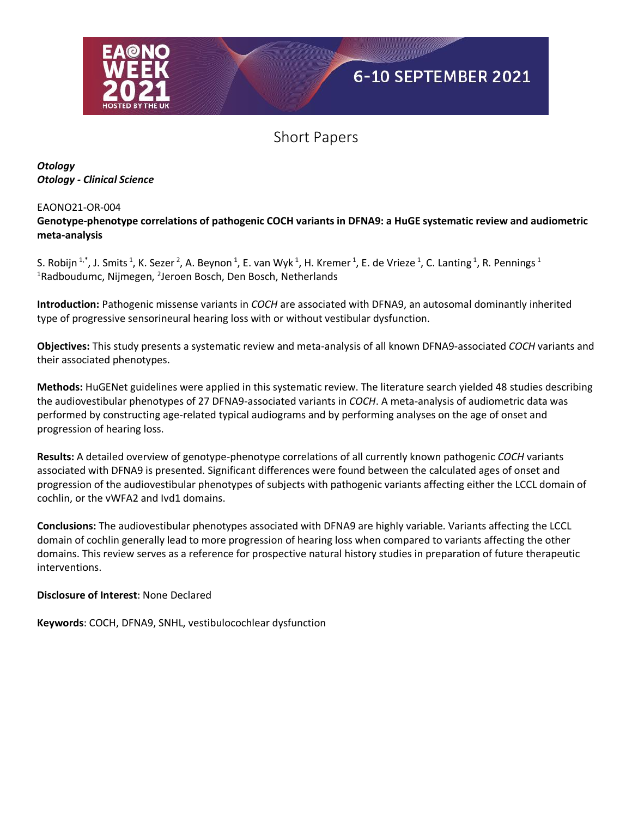

### Short Papers

*Otology Otology - Clinical Science*

#### EAONO21-OR-004

#### **Genotype-phenotype correlations of pathogenic COCH variants in DFNA9: a HuGE systematic review and audiometric meta-analysis**

S. Robijn  $1^*$ , J. Smits  $^1$ , K. Sezer  $^2$ , A. Beynon  $^1$ , E. van Wyk  $^1$ , H. Kremer  $^1$ , E. de Vrieze  $^1$ , C. Lanting  $^1$ , R. Pennings  $^1$ <sup>1</sup>Radboudumc, Nijmegen, <sup>2</sup>Jeroen Bosch, Den Bosch, Netherlands

**Introduction:** Pathogenic missense variants in *COCH* are associated with DFNA9, an autosomal dominantly inherited type of progressive sensorineural hearing loss with or without vestibular dysfunction.

**Objectives:** This study presents a systematic review and meta-analysis of all known DFNA9-associated *COCH* variants and their associated phenotypes.

**Methods:** HuGENet guidelines were applied in this systematic review. The literature search yielded 48 studies describing the audiovestibular phenotypes of 27 DFNA9-associated variants in *COCH*. A meta-analysis of audiometric data was performed by constructing age-related typical audiograms and by performing analyses on the age of onset and progression of hearing loss.

**Results:** A detailed overview of genotype-phenotype correlations of all currently known pathogenic *COCH* variants associated with DFNA9 is presented. Significant differences were found between the calculated ages of onset and progression of the audiovestibular phenotypes of subjects with pathogenic variants affecting either the LCCL domain of cochlin, or the vWFA2 and Ivd1 domains.

**Conclusions:** The audiovestibular phenotypes associated with DFNA9 are highly variable. Variants affecting the LCCL domain of cochlin generally lead to more progression of hearing loss when compared to variants affecting the other domains. This review serves as a reference for prospective natural history studies in preparation of future therapeutic interventions.

**Disclosure of Interest**: None Declared

**Keywords**: COCH, DFNA9, SNHL, vestibulocochlear dysfunction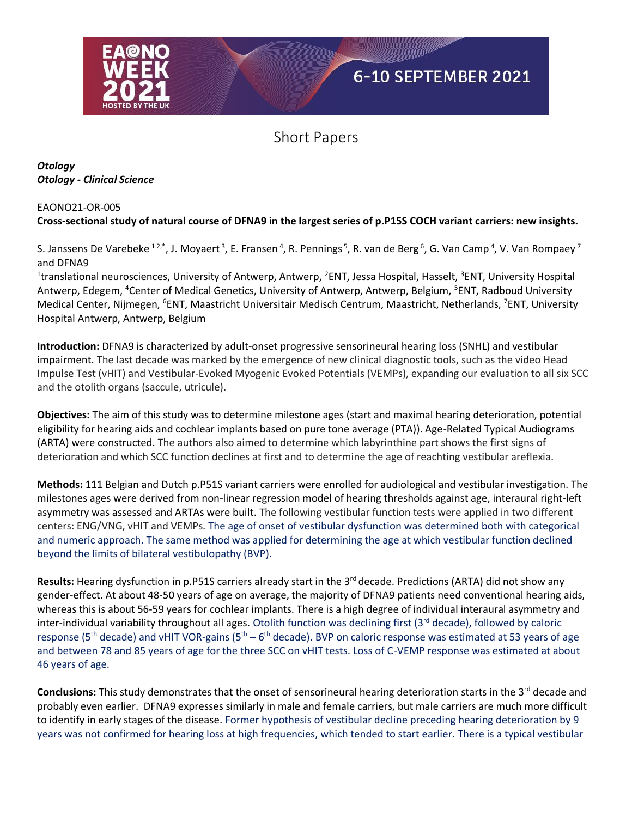

### Short Papers

*Otology Otology - Clinical Science*

#### EAONO21-OR-005 **Cross-sectional study of natural course of DFNA9 in the largest series of p.P15S COCH variant carriers: new insights.**

S. Janssens De Varebeke $^{12,*}$ , J. Moyaert $^3$ , E. Fransen $^4$ , R. Pennings $^5$ , R. van de Berg $^6$ , G. Van Camp $^4$ , V. Van Rompaey  $^7$ and DFNA9

<sup>1</sup>translational neurosciences, University of Antwerp, Antwerp, <sup>2</sup>ENT, Jessa Hospital, Hasselt, <sup>3</sup>ENT, University Hospital Antwerp, Edegem, <sup>4</sup>Center of Medical Genetics, University of Antwerp, Antwerp, Belgium, <sup>5</sup>ENT, Radboud University Medical Center, Nijmegen, <sup>6</sup>ENT, Maastricht Universitair Medisch Centrum, Maastricht, Netherlands, <sup>7</sup>ENT, University Hospital Antwerp, Antwerp, Belgium

**Introduction:** DFNA9 is characterized by adult-onset progressive sensorineural hearing loss (SNHL) and vestibular impairment. The last decade was marked by the emergence of new clinical diagnostic tools, such as the video Head Impulse Test (vHIT) and Vestibular-Evoked Myogenic Evoked Potentials (VEMPs), expanding our evaluation to all six SCC and the otolith organs (saccule, utricule).

**Objectives:** The aim of this study was to determine milestone ages (start and maximal hearing deterioration, potential eligibility for hearing aids and cochlear implants based on pure tone average (PTA)). Age-Related Typical Audiograms (ARTA) were constructed. The authors also aimed to determine which labyrinthine part shows the first signs of deterioration and which SCC function declines at first and to determine the age of reachting vestibular areflexia.

**Methods:** 111 Belgian and Dutch p.P51S variant carriers were enrolled for audiological and vestibular investigation. The milestones ages were derived from non-linear regression model of hearing thresholds against age, interaural right-left asymmetry was assessed and ARTAs were built. The following vestibular function tests were applied in two different centers: ENG/VNG, vHIT and VEMPs. The age of onset of vestibular dysfunction was determined both with categorical and numeric approach. The same method was applied for determining the age at which vestibular function declined beyond the limits of bilateral vestibulopathy (BVP).

Results: Hearing dysfunction in p.P51S carriers already start in the 3<sup>rd</sup> decade. Predictions (ARTA) did not show any gender-effect. At about 48-50 years of age on average, the majority of DFNA9 patients need conventional hearing aids, whereas this is about 56-59 years for cochlear implants. There is a high degree of individual interaural asymmetry and inter-individual variability throughout all ages. Otolith function was declining first  $(3<sup>rd</sup>$  decade), followed by caloric response (5<sup>th</sup> decade) and vHIT VOR-gains (5<sup>th</sup> – 6<sup>th</sup> decade). BVP on caloric response was estimated at 53 years of age and between 78 and 85 years of age for the three SCC on vHIT tests. Loss of C-VEMP response was estimated at about 46 years of age.

**Conclusions:** This study demonstrates that the onset of sensorineural hearing deterioration starts in the 3<sup>rd</sup> decade and probably even earlier. DFNA9 expresses similarly in male and female carriers, but male carriers are much more difficult to identify in early stages of the disease. Former hypothesis of vestibular decline preceding hearing deterioration by 9 years was not confirmed for hearing loss at high frequencies, which tended to start earlier. There is a typical vestibular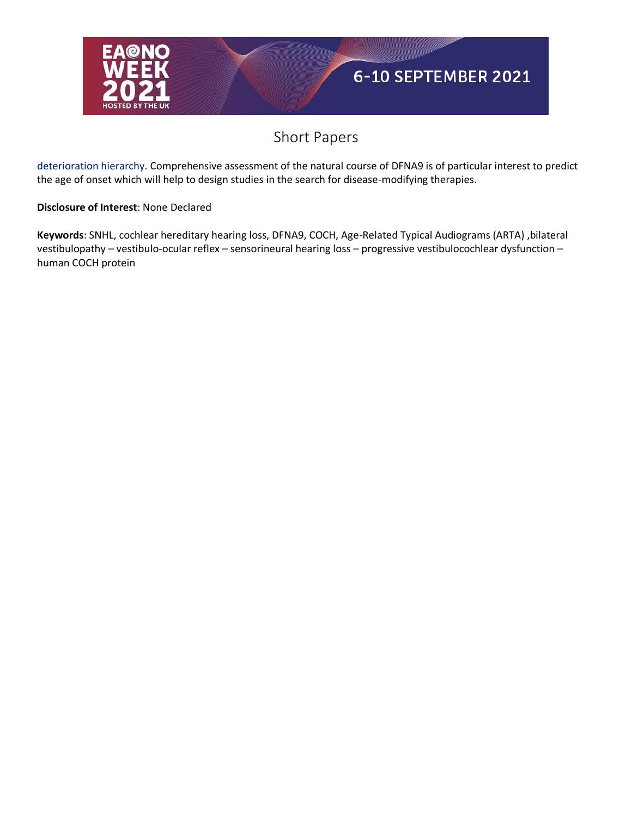

deterioration hierarchy. Comprehensive assessment of the natural course of DFNA9 is of particular interest to predict the age of onset which will help to design studies in the search for disease-modifying therapies.

#### **Disclosure of Interest**: None Declared

**Keywords**: SNHL, cochlear hereditary hearing loss, DFNA9, COCH, Age-Related Typical Audiograms (ARTA) ,bilateral vestibulopathy – vestibulo-ocular reflex – sensorineural hearing loss – progressive vestibulocochlear dysfunction – human COCH protein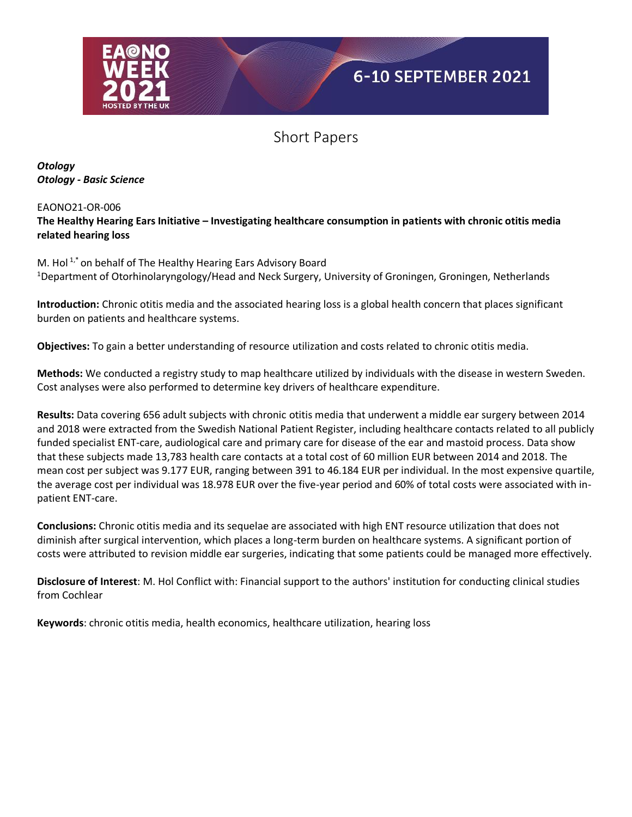

## Short Papers

*Otology Otology - Basic Science*

EAONO21-OR-006

#### **The Healthy Hearing Ears Initiative – Investigating healthcare consumption in patients with chronic otitis media related hearing loss**

M. Hol $1^*$  on behalf of The Healthy Hearing Ears Advisory Board <sup>1</sup>Department of Otorhinolaryngology/Head and Neck Surgery, University of Groningen, Groningen, Netherlands

**Introduction:** Chronic otitis media and the associated hearing loss is a global health concern that places significant burden on patients and healthcare systems.

**Objectives:** To gain a better understanding of resource utilization and costs related to chronic otitis media.

**Methods:** We conducted a registry study to map healthcare utilized by individuals with the disease in western Sweden. Cost analyses were also performed to determine key drivers of healthcare expenditure.

**Results:** Data covering 656 adult subjects with chronic otitis media that underwent a middle ear surgery between 2014 and 2018 were extracted from the Swedish National Patient Register, including healthcare contacts related to all publicly funded specialist ENT-care, audiological care and primary care for disease of the ear and mastoid process. Data show that these subjects made 13,783 health care contacts at a total cost of 60 million EUR between 2014 and 2018. The mean cost per subject was 9.177 EUR, ranging between 391 to 46.184 EUR per individual. In the most expensive quartile, the average cost per individual was 18.978 EUR over the five-year period and 60% of total costs were associated with inpatient ENT-care.

**Conclusions:** Chronic otitis media and its sequelae are associated with high ENT resource utilization that does not diminish after surgical intervention, which places a long-term burden on healthcare systems. A significant portion of costs were attributed to revision middle ear surgeries, indicating that some patients could be managed more effectively.

**Disclosure of Interest**: M. Hol Conflict with: Financial support to the authors' institution for conducting clinical studies from Cochlear

**Keywords**: chronic otitis media, health economics, healthcare utilization, hearing loss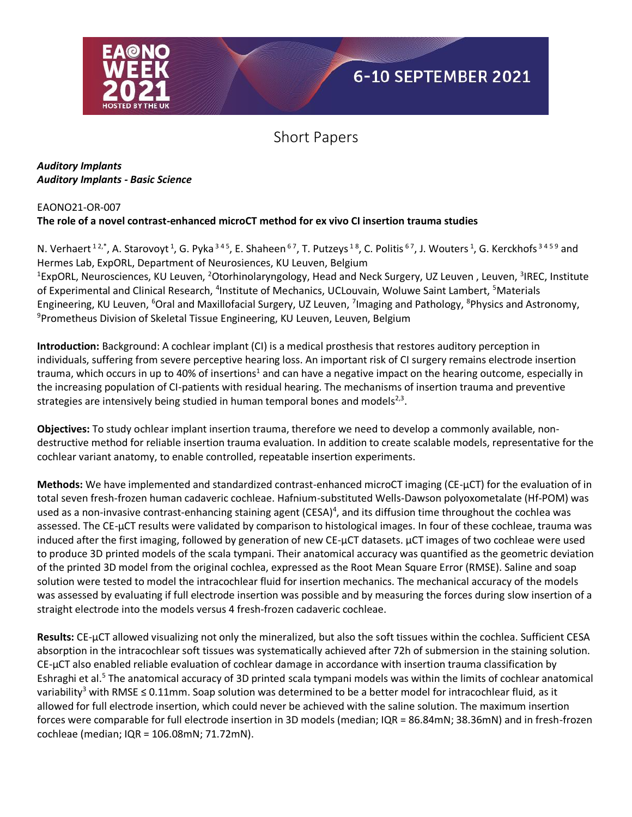

#### *Auditory Implants Auditory Implants - Basic Science*

#### EAONO21-OR-007 **The role of a novel contrast-enhanced microCT method for ex vivo CI insertion trauma studies**

N. Verhaert <sup>12,\*</sup>, A. Starovoyt <sup>1</sup>, G. Pyka <sup>345</sup>, E. Shaheen <sup>67</sup>, T. Putzeys <sup>18</sup>, C. Politis <sup>67</sup>, J. Wouters <sup>1</sup>, G. Kerckhofs <sup>3459</sup> and Hermes Lab, ExpORL, Department of Neurosiences, KU Leuven, Belgium

<sup>1</sup>ExpORL, Neurosciences, KU Leuven, <sup>2</sup>Otorhinolaryngology, Head and Neck Surgery, UZ Leuven, Leuven, <sup>3</sup>IREC, Institute of Experimental and Clinical Research, <sup>4</sup>Institute of Mechanics, UCLouvain, Woluwe Saint Lambert, <sup>5</sup>Materials Engineering, KU Leuven, <sup>6</sup>Oral and Maxillofacial Surgery, UZ Leuven, <sup>7</sup>Imaging and Pathology, <sup>8</sup>Physics and Astronomy, <sup>9</sup>Prometheus Division of Skeletal Tissue Engineering, KU Leuven, Leuven, Belgium

**Introduction:** Background: A cochlear implant (CI) is a medical prosthesis that restores auditory perception in individuals, suffering from severe perceptive hearing loss. An important risk of CI surgery remains electrode insertion trauma, which occurs in up to 40% of insertions<sup>1</sup> and can have a negative impact on the hearing outcome, especially in the increasing population of CI-patients with residual hearing. The mechanisms of insertion trauma and preventive strategies are intensively being studied in human temporal bones and models<sup>2,3</sup>.

**Objectives:** To study ochlear implant insertion trauma, therefore we need to develop a commonly available, nondestructive method for reliable insertion trauma evaluation. In addition to create scalable models, representative for the cochlear variant anatomy, to enable controlled, repeatable insertion experiments.

**Methods:** We have implemented and standardized contrast-enhanced microCT imaging (CE-μCT) for the evaluation of in total seven fresh-frozen human cadaveric cochleae. Hafnium-substituted Wells-Dawson polyoxometalate (Hf-POM) was used as a non-invasive contrast-enhancing staining agent (CESA)<sup>4</sup>, and its diffusion time throughout the cochlea was assessed. The CE-μCT results were validated by comparison to histological images. In four of these cochleae, trauma was induced after the first imaging, followed by generation of new CE-μCT datasets. μCT images of two cochleae were used to produce 3D printed models of the scala tympani. Their anatomical accuracy was quantified as the geometric deviation of the printed 3D model from the original cochlea, expressed as the Root Mean Square Error (RMSE). Saline and soap solution were tested to model the intracochlear fluid for insertion mechanics. The mechanical accuracy of the models was assessed by evaluating if full electrode insertion was possible and by measuring the forces during slow insertion of a straight electrode into the models versus 4 fresh-frozen cadaveric cochleae.

**Results:** CE-µCT allowed visualizing not only the mineralized, but also the soft tissues within the cochlea. Sufficient CESA absorption in the intracochlear soft tissues was systematically achieved after 72h of submersion in the staining solution. CE-μCT also enabled reliable evaluation of cochlear damage in accordance with insertion trauma classification by Eshraghi et al.<sup>5</sup> The anatomical accuracy of 3D printed scala tympani models was within the limits of cochlear anatomical variability<sup>3</sup> with RMSE  $\leq$  0.11mm. Soap solution was determined to be a better model for intracochlear fluid, as it allowed for full electrode insertion, which could never be achieved with the saline solution. The maximum insertion forces were comparable for full electrode insertion in 3D models (median; IQR = 86.84mN; 38.36mN) and in fresh-frozen cochleae (median; IQR = 106.08mN; 71.72mN).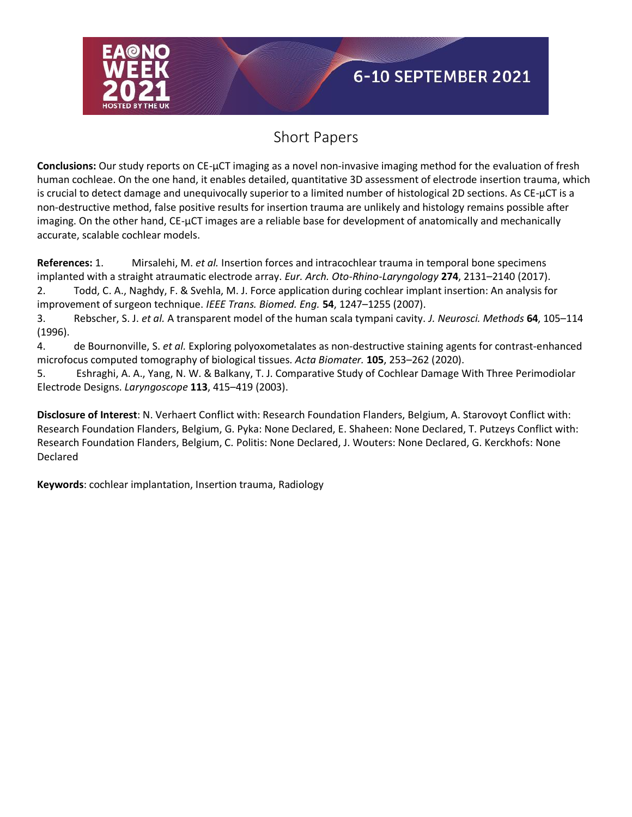

**Conclusions:** Our study reports on CE-μCT imaging as a novel non-invasive imaging method for the evaluation of fresh human cochleae. On the one hand, it enables detailed, quantitative 3D assessment of electrode insertion trauma, which is crucial to detect damage and unequivocally superior to a limited number of histological 2D sections. As CE-μCT is a non-destructive method, false positive results for insertion trauma are unlikely and histology remains possible after imaging. On the other hand, CE-μCT images are a reliable base for development of anatomically and mechanically accurate, scalable cochlear models.

**References:** 1. Mirsalehi, M. *et al.* Insertion forces and intracochlear trauma in temporal bone specimens implanted with a straight atraumatic electrode array. *Eur. Arch. Oto-Rhino-Laryngology* **274**, 2131–2140 (2017). 2. Todd, C. A., Naghdy, F. & Svehla, M. J. Force application during cochlear implant insertion: An analysis for improvement of surgeon technique. *IEEE Trans. Biomed. Eng.* **54**, 1247–1255 (2007).

3. Rebscher, S. J. *et al.* A transparent model of the human scala tympani cavity. *J. Neurosci. Methods* **64**, 105–114 (1996).

4. de Bournonville, S. *et al.* Exploring polyoxometalates as non-destructive staining agents for contrast-enhanced microfocus computed tomography of biological tissues. *Acta Biomater.* **105**, 253–262 (2020).

5. Eshraghi, A. A., Yang, N. W. & Balkany, T. J. Comparative Study of Cochlear Damage With Three Perimodiolar Electrode Designs. *Laryngoscope* **113**, 415–419 (2003).

**Disclosure of Interest**: N. Verhaert Conflict with: Research Foundation Flanders, Belgium, A. Starovoyt Conflict with: Research Foundation Flanders, Belgium, G. Pyka: None Declared, E. Shaheen: None Declared, T. Putzeys Conflict with: Research Foundation Flanders, Belgium, C. Politis: None Declared, J. Wouters: None Declared, G. Kerckhofs: None Declared

**Keywords**: cochlear implantation, Insertion trauma, Radiology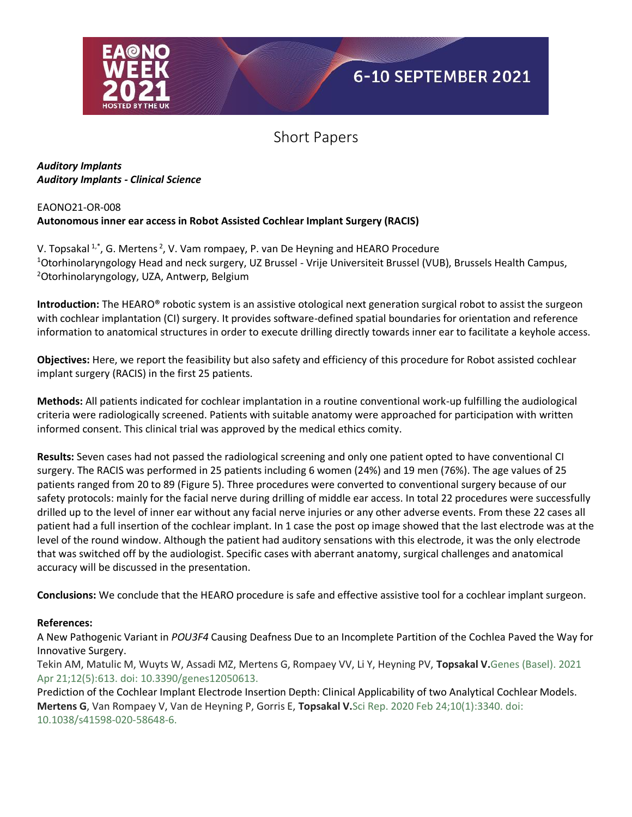

#### *Auditory Implants Auditory Implants - Clinical Science*

#### EAONO21-OR-008 **Autonomous inner ear access in Robot Assisted Cochlear Implant Surgery (RACIS)**

V. Topsakal <sup>1,\*</sup>, G. Mertens <sup>2</sup>, V. Vam rompaey, P. van De Heyning and HEARO Procedure <sup>1</sup>Otorhinolaryngology Head and neck surgery, UZ Brussel - Vrije Universiteit Brussel (VUB), Brussels Health Campus, <sup>2</sup>Otorhinolaryngology, UZA, Antwerp, Belgium

**Introduction:** The HEARO® robotic system is an assistive otological next generation surgical robot to assist the surgeon with cochlear implantation (CI) surgery. It provides software-defined spatial boundaries for orientation and reference information to anatomical structures in order to execute drilling directly towards inner ear to facilitate a keyhole access.

**Objectives:** Here, we report the feasibility but also safety and efficiency of this procedure for Robot assisted cochlear implant surgery (RACIS) in the first 25 patients.

**Methods:** All patients indicated for cochlear implantation in a routine conventional work-up fulfilling the audiological criteria were radiologically screened. Patients with suitable anatomy were approached for participation with written informed consent. This clinical trial was approved by the medical ethics comity.

**Results:** Seven cases had not passed the radiological screening and only one patient opted to have conventional CI surgery. The RACIS was performed in 25 patients including 6 women (24%) and 19 men (76%). The age values of 25 patients ranged from 20 to 89 (Figure 5). Three procedures were converted to conventional surgery because of our safety protocols: mainly for the facial nerve during drilling of middle ear access. In total 22 procedures were successfully drilled up to the level of inner ear without any facial nerve injuries or any other adverse events. From these 22 cases all patient had a full insertion of the cochlear implant. In 1 case the post op image showed that the last electrode was at the level of the round window. Although the patient had auditory sensations with this electrode, it was the only electrode that was switched off by the audiologist. Specific cases with aberrant anatomy, surgical challenges and anatomical accuracy will be discussed in the presentation.

**Conclusions:** We conclude that the HEARO procedure is safe and effective assistive tool for a cochlear implant surgeon.

#### **References:**

A New Pathogenic Variant in *POU3F4* Causing Deafness Due to an Incomplete Partition of the Cochlea Paved the Way for Innovative Surgery.

Tekin AM, Matulic M, Wuyts W, Assadi MZ, Mertens G, Rompaey VV, Li Y, Heyning PV, **Topsakal V.**Genes (Basel). 2021 Apr 21;12(5):613. doi: 10.3390/genes12050613.

Prediction of the Cochlear Implant Electrode Insertion Depth: Clinical Applicability of two Analytical Cochlear Models. **Mertens G**, Van Rompaey V, Van de Heyning P, Gorris E, **Topsakal V.**Sci Rep. 2020 Feb 24;10(1):3340. doi: 10.1038/s41598-020-58648-6.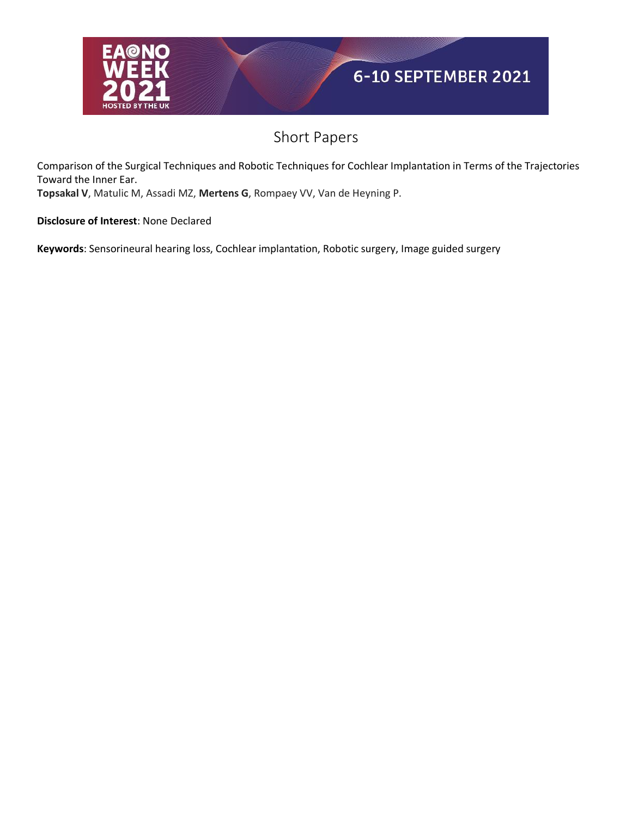

Comparison of the Surgical Techniques and Robotic Techniques for Cochlear Implantation in Terms of the Trajectories Toward the Inner Ear.

**Topsakal V**, Matulic M, Assadi MZ, **Mertens G**, Rompaey VV, Van de Heyning P.

**Disclosure of Interest**: None Declared

**Keywords**: Sensorineural hearing loss, Cochlear implantation, Robotic surgery, Image guided surgery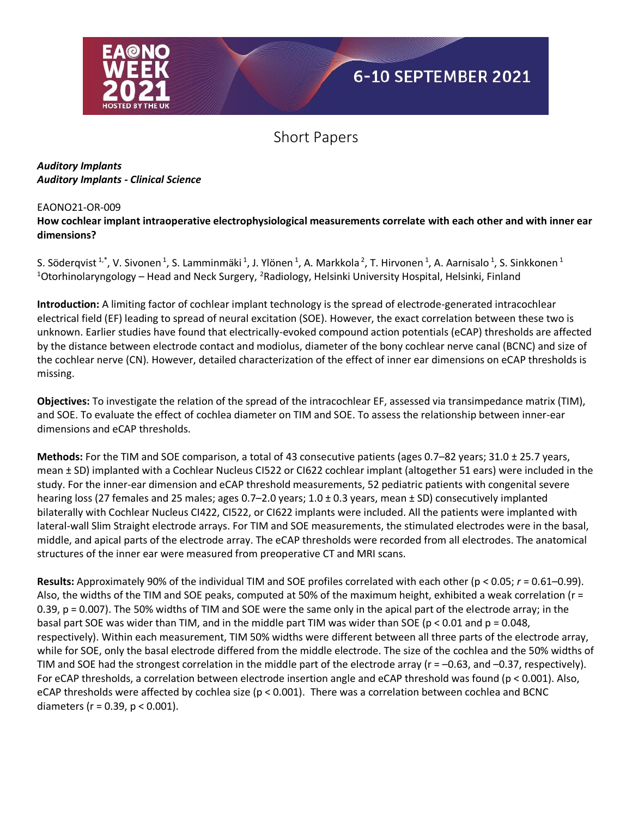

#### *Auditory Implants Auditory Implants - Clinical Science*

#### EAONO21-OR-009

**How cochlear implant intraoperative electrophysiological measurements correlate with each other and with inner ear dimensions?**

S. Söderqvist $^{1,*}$ , V. Sivonen $^1$ , S. Lamminmäki $^1$ , J. Ylönen $^1$ , A. Markkola $^2$ , T. Hirvonen $^1$ , A. Aarnisalo $^1$ , S. Sinkkonen $^1$ <sup>1</sup>Otorhinolaryngology – Head and Neck Surgery, <sup>2</sup>Radiology, Helsinki University Hospital, Helsinki, Finland

**Introduction:** A limiting factor of cochlear implant technology is the spread of electrode-generated intracochlear electrical field (EF) leading to spread of neural excitation (SOE). However, the exact correlation between these two is unknown. Earlier studies have found that electrically-evoked compound action potentials (eCAP) thresholds are affected by the distance between electrode contact and modiolus, diameter of the bony cochlear nerve canal (BCNC) and size of the cochlear nerve (CN). However, detailed characterization of the effect of inner ear dimensions on eCAP thresholds is missing.

**Objectives:** To investigate the relation of the spread of the intracochlear EF, assessed via transimpedance matrix (TIM), and SOE. To evaluate the effect of cochlea diameter on TIM and SOE. To assess the relationship between inner-ear dimensions and eCAP thresholds.

**Methods:** For the TIM and SOE comparison, a total of 43 consecutive patients (ages 0.7–82 years; 31.0 ± 25.7 years, mean ± SD) implanted with a Cochlear Nucleus CI522 or CI622 cochlear implant (altogether 51 ears) were included in the study. For the inner-ear dimension and eCAP threshold measurements, 52 pediatric patients with congenital severe hearing loss (27 females and 25 males; ages 0.7–2.0 years; 1.0 ± 0.3 years, mean ± SD) consecutively implanted bilaterally with Cochlear Nucleus CI422, CI522, or CI622 implants were included. All the patients were implanted with lateral-wall Slim Straight electrode arrays. For TIM and SOE measurements, the stimulated electrodes were in the basal, middle, and apical parts of the electrode array. The eCAP thresholds were recorded from all electrodes. The anatomical structures of the inner ear were measured from preoperative CT and MRI scans.

**Results:** Approximately 90% of the individual TIM and SOE profiles correlated with each other (p < 0.05; *r* = 0.61–0.99). Also, the widths of the TIM and SOE peaks, computed at 50% of the maximum height, exhibited a weak correlation (r = 0.39, p = 0.007). The 50% widths of TIM and SOE were the same only in the apical part of the electrode array; in the basal part SOE was wider than TIM, and in the middle part TIM was wider than SOE (p < 0.01 and p = 0.048, respectively). Within each measurement, TIM 50% widths were different between all three parts of the electrode array, while for SOE, only the basal electrode differed from the middle electrode. The size of the cochlea and the 50% widths of TIM and SOE had the strongest correlation in the middle part of the electrode array ( $r = -0.63$ , and  $-0.37$ , respectively). For eCAP thresholds, a correlation between electrode insertion angle and eCAP threshold was found (p < 0.001). Also, eCAP thresholds were affected by cochlea size (p < 0.001). There was a correlation between cochlea and BCNC diameters ( $r = 0.39$ ,  $p < 0.001$ ).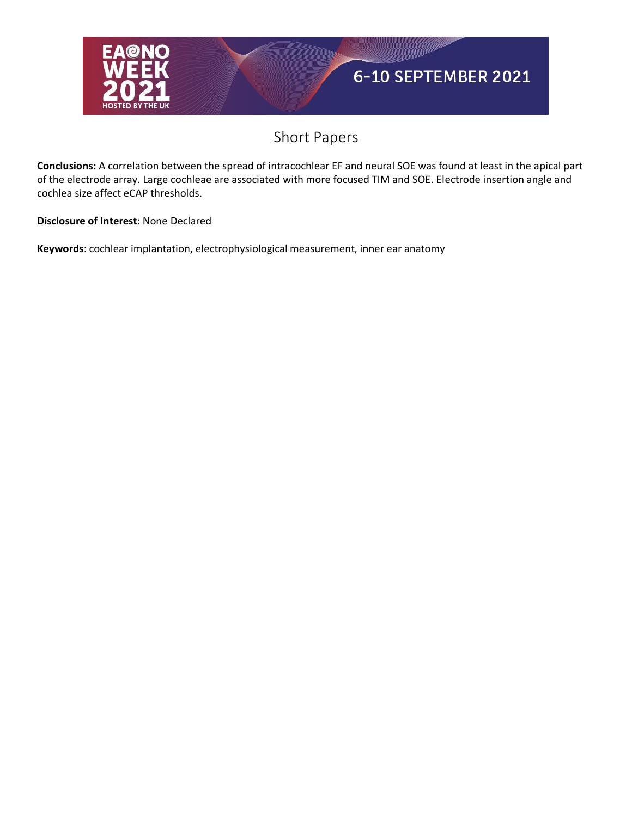

**Conclusions:** A correlation between the spread of intracochlear EF and neural SOE was found at least in the apical part of the electrode array. Large cochleae are associated with more focused TIM and SOE. Electrode insertion angle and cochlea size affect eCAP thresholds.

**Disclosure of Interest**: None Declared

**Keywords**: cochlear implantation, electrophysiological measurement, inner ear anatomy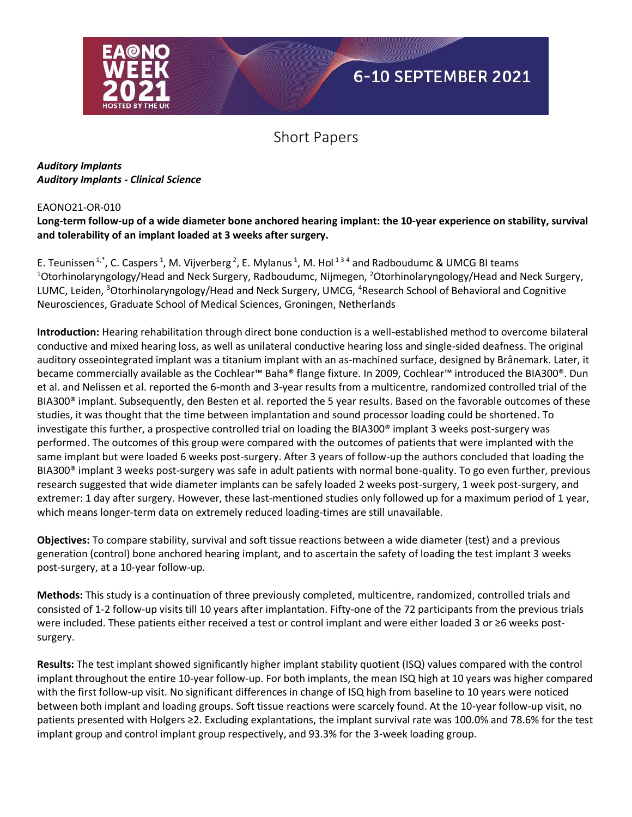

#### *Auditory Implants Auditory Implants - Clinical Science*

#### EAONO21-OR-010

#### **Long-term follow-up of a wide diameter bone anchored hearing implant: the 10-year experience on stability, survival and tolerability of an implant loaded at 3 weeks after surgery.**

E. Teunissen  $1^*$ , C. Caspers <sup>1</sup>, M. Vijverberg <sup>2</sup>, E. Mylanus <sup>1</sup>, M. Hol  $13.4$  and Radboudumc & UMCG BI teams <sup>1</sup>Otorhinolaryngology/Head and Neck Surgery, Radboudumc, Nijmegen, <sup>2</sup>Otorhinolaryngology/Head and Neck Surgery, LUMC, Leiden, <sup>3</sup>Otorhinolaryngology/Head and Neck Surgery, UMCG, <sup>4</sup>Research School of Behavioral and Cognitive Neurosciences, Graduate School of Medical Sciences, Groningen, Netherlands

**Introduction:** Hearing rehabilitation through direct bone conduction is a well-established method to overcome bilateral conductive and mixed hearing loss, as well as unilateral conductive hearing loss and single-sided deafness. The original auditory osseointegrated implant was a titanium implant with an as-machined surface, designed by Brånemark. Later, it became commercially available as the Cochlear™ Baha® flange fixture. In 2009, Cochlear™ introduced the BIA300®. Dun et al. and Nelissen et al. reported the 6-month and 3-year results from a multicentre, randomized controlled trial of the BIA300® implant. Subsequently, den Besten et al. reported the 5 year results. Based on the favorable outcomes of these studies, it was thought that the time between implantation and sound processor loading could be shortened. To investigate this further, a prospective controlled trial on loading the BIA300® implant 3 weeks post-surgery was performed. The outcomes of this group were compared with the outcomes of patients that were implanted with the same implant but were loaded 6 weeks post-surgery. After 3 years of follow-up the authors concluded that loading the BIA300<sup>®</sup> implant 3 weeks post-surgery was safe in adult patients with normal bone-quality. To go even further, previous research suggested that wide diameter implants can be safely loaded 2 weeks post-surgery, 1 week post-surgery, and extremer: 1 day after surgery. However, these last-mentioned studies only followed up for a maximum period of 1 year, which means longer-term data on extremely reduced loading-times are still unavailable.

**Objectives:** To compare stability, survival and soft tissue reactions between a wide diameter (test) and a previous generation (control) bone anchored hearing implant, and to ascertain the safety of loading the test implant 3 weeks post-surgery, at a 10-year follow-up.

**Methods:** This study is a continuation of three previously completed, multicentre, randomized, controlled trials and consisted of 1-2 follow-up visits till 10 years after implantation. Fifty-one of the 72 participants from the previous trials were included. These patients either received a test or control implant and were either loaded 3 or ≥6 weeks postsurgery.

**Results:** The test implant showed significantly higher implant stability quotient (ISQ) values compared with the control implant throughout the entire 10-year follow-up. For both implants, the mean ISQ high at 10 years was higher compared with the first follow-up visit. No significant differences in change of ISQ high from baseline to 10 years were noticed between both implant and loading groups. Soft tissue reactions were scarcely found. At the 10-year follow-up visit, no patients presented with Holgers ≥2. Excluding explantations, the implant survival rate was 100.0% and 78.6% for the test implant group and control implant group respectively, and 93.3% for the 3-week loading group.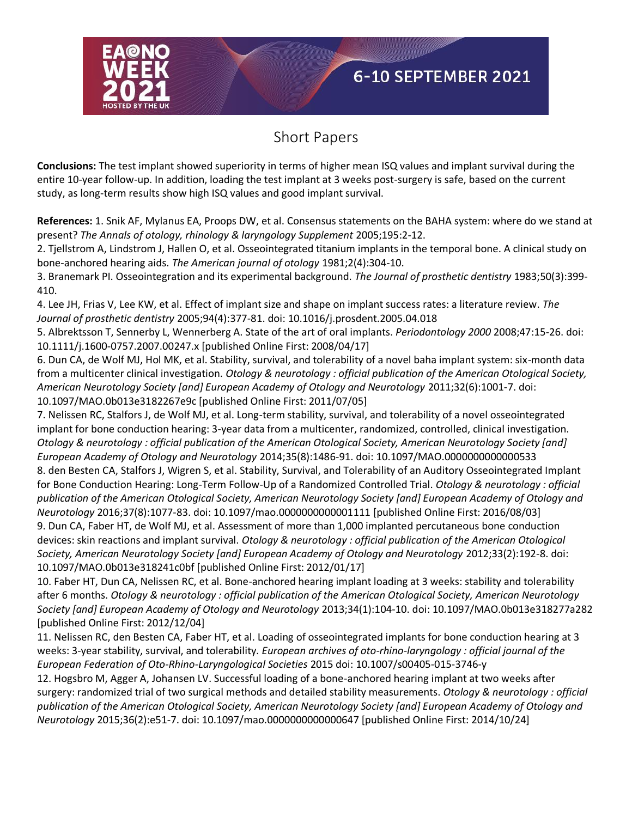

**Conclusions:** The test implant showed superiority in terms of higher mean ISQ values and implant survival during the entire 10-year follow-up. In addition, loading the test implant at 3 weeks post-surgery is safe, based on the current study, as long-term results show high ISQ values and good implant survival.

**References:** 1. Snik AF, Mylanus EA, Proops DW, et al. Consensus statements on the BAHA system: where do we stand at present? *The Annals of otology, rhinology & laryngology Supplement* 2005;195:2-12.

2. Tjellstrom A, Lindstrom J, Hallen O, et al. Osseointegrated titanium implants in the temporal bone. A clinical study on bone-anchored hearing aids. *The American journal of otology* 1981;2(4):304-10.

3. Branemark PI. Osseointegration and its experimental background. *The Journal of prosthetic dentistry* 1983;50(3):399- 410.

4. Lee JH, Frias V, Lee KW, et al. Effect of implant size and shape on implant success rates: a literature review. *The Journal of prosthetic dentistry* 2005;94(4):377-81. doi: 10.1016/j.prosdent.2005.04.018

5. Albrektsson T, Sennerby L, Wennerberg A. State of the art of oral implants. *Periodontology 2000* 2008;47:15-26. doi: 10.1111/j.1600-0757.2007.00247.x [published Online First: 2008/04/17]

6. Dun CA, de Wolf MJ, Hol MK, et al. Stability, survival, and tolerability of a novel baha implant system: six-month data from a multicenter clinical investigation. *Otology & neurotology : official publication of the American Otological Society, American Neurotology Society [and] European Academy of Otology and Neurotology* 2011;32(6):1001-7. doi: 10.1097/MAO.0b013e3182267e9c [published Online First: 2011/07/05]

7. Nelissen RC, Stalfors J, de Wolf MJ, et al. Long-term stability, survival, and tolerability of a novel osseointegrated implant for bone conduction hearing: 3-year data from a multicenter, randomized, controlled, clinical investigation. *Otology & neurotology : official publication of the American Otological Society, American Neurotology Society [and] European Academy of Otology and Neurotology* 2014;35(8):1486-91. doi: 10.1097/MAO.0000000000000533 8. den Besten CA, Stalfors J, Wigren S, et al. Stability, Survival, and Tolerability of an Auditory Osseointegrated Implant for Bone Conduction Hearing: Long-Term Follow-Up of a Randomized Controlled Trial. *Otology & neurotology : official publication of the American Otological Society, American Neurotology Society [and] European Academy of Otology and Neurotology* 2016;37(8):1077-83. doi: 10.1097/mao.0000000000001111 [published Online First: 2016/08/03] 9. Dun CA, Faber HT, de Wolf MJ, et al. Assessment of more than 1,000 implanted percutaneous bone conduction devices: skin reactions and implant survival. *Otology & neurotology : official publication of the American Otological Society, American Neurotology Society [and] European Academy of Otology and Neurotology* 2012;33(2):192-8. doi: 10.1097/MAO.0b013e318241c0bf [published Online First: 2012/01/17]

10. Faber HT, Dun CA, Nelissen RC, et al. Bone-anchored hearing implant loading at 3 weeks: stability and tolerability after 6 months. *Otology & neurotology : official publication of the American Otological Society, American Neurotology Society [and] European Academy of Otology and Neurotology* 2013;34(1):104-10. doi: 10.1097/MAO.0b013e318277a282 [published Online First: 2012/12/04]

11. Nelissen RC, den Besten CA, Faber HT, et al. Loading of osseointegrated implants for bone conduction hearing at 3 weeks: 3-year stability, survival, and tolerability. *European archives of oto-rhino-laryngology : official journal of the European Federation of Oto-Rhino-Laryngological Societies* 2015 doi: 10.1007/s00405-015-3746-y

12. Hogsbro M, Agger A, Johansen LV. Successful loading of a bone-anchored hearing implant at two weeks after surgery: randomized trial of two surgical methods and detailed stability measurements. *Otology & neurotology : official publication of the American Otological Society, American Neurotology Society [and] European Academy of Otology and Neurotology* 2015;36(2):e51-7. doi: 10.1097/mao.0000000000000647 [published Online First: 2014/10/24]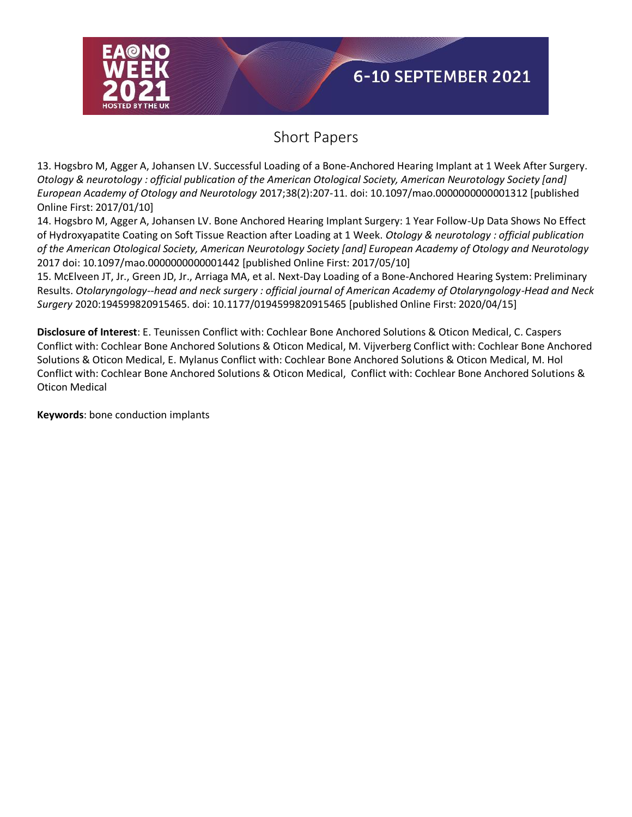

13. Hogsbro M, Agger A, Johansen LV. Successful Loading of a Bone-Anchored Hearing Implant at 1 Week After Surgery. *Otology & neurotology : official publication of the American Otological Society, American Neurotology Society [and] European Academy of Otology and Neurotology* 2017;38(2):207-11. doi: 10.1097/mao.0000000000001312 [published Online First: 2017/01/10]

14. Hogsbro M, Agger A, Johansen LV. Bone Anchored Hearing Implant Surgery: 1 Year Follow-Up Data Shows No Effect of Hydroxyapatite Coating on Soft Tissue Reaction after Loading at 1 Week. *Otology & neurotology : official publication of the American Otological Society, American Neurotology Society [and] European Academy of Otology and Neurotology* 2017 doi: 10.1097/mao.0000000000001442 [published Online First: 2017/05/10]

15. McElveen JT, Jr., Green JD, Jr., Arriaga MA, et al. Next-Day Loading of a Bone-Anchored Hearing System: Preliminary Results. *Otolaryngology--head and neck surgery : official journal of American Academy of Otolaryngology-Head and Neck Surgery* 2020:194599820915465. doi: 10.1177/0194599820915465 [published Online First: 2020/04/15]

**Disclosure of Interest**: E. Teunissen Conflict with: Cochlear Bone Anchored Solutions & Oticon Medical, C. Caspers Conflict with: Cochlear Bone Anchored Solutions & Oticon Medical, M. Vijverberg Conflict with: Cochlear Bone Anchored Solutions & Oticon Medical, E. Mylanus Conflict with: Cochlear Bone Anchored Solutions & Oticon Medical, M. Hol Conflict with: Cochlear Bone Anchored Solutions & Oticon Medical, Conflict with: Cochlear Bone Anchored Solutions & Oticon Medical

**Keywords**: bone conduction implants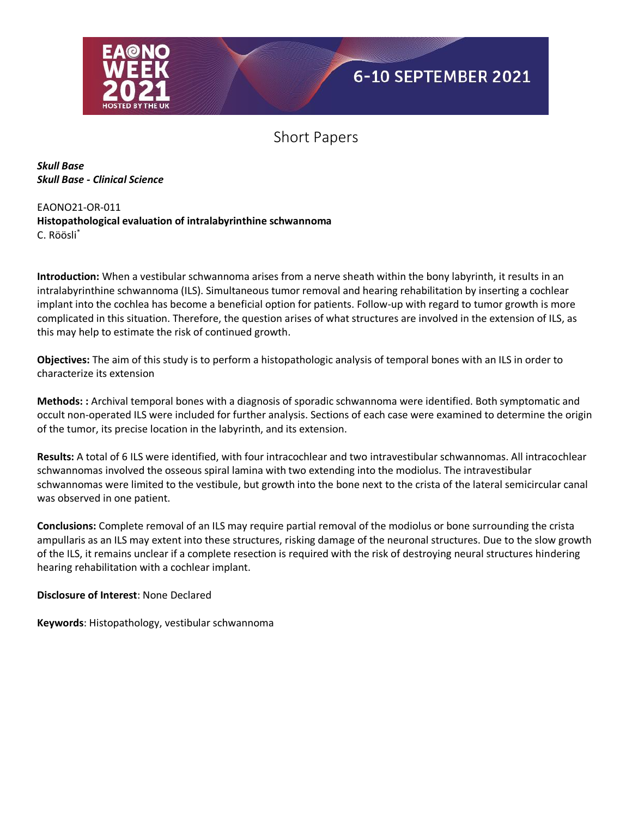

*Skull Base Skull Base - Clinical Science*

#### EAONO21-OR-011 **Histopathological evaluation of intralabyrinthine schwannoma** C. Röösli\*

**Introduction:** When a vestibular schwannoma arises from a nerve sheath within the bony labyrinth, it results in an intralabyrinthine schwannoma (ILS). Simultaneous tumor removal and hearing rehabilitation by inserting a cochlear implant into the cochlea has become a beneficial option for patients. Follow-up with regard to tumor growth is more complicated in this situation. Therefore, the question arises of what structures are involved in the extension of ILS, as this may help to estimate the risk of continued growth.

**Objectives:** The aim of this study is to perform a histopathologic analysis of temporal bones with an ILS in order to characterize its extension

**Methods: :** Archival temporal bones with a diagnosis of sporadic schwannoma were identified. Both symptomatic and occult non-operated ILS were included for further analysis. Sections of each case were examined to determine the origin of the tumor, its precise location in the labyrinth, and its extension.

**Results:** A total of 6 ILS were identified, with four intracochlear and two intravestibular schwannomas. All intracochlear schwannomas involved the osseous spiral lamina with two extending into the modiolus. The intravestibular schwannomas were limited to the vestibule, but growth into the bone next to the crista of the lateral semicircular canal was observed in one patient.

**Conclusions:** Complete removal of an ILS may require partial removal of the modiolus or bone surrounding the crista ampullaris as an ILS may extent into these structures, risking damage of the neuronal structures. Due to the slow growth of the ILS, it remains unclear if a complete resection is required with the risk of destroying neural structures hindering hearing rehabilitation with a cochlear implant.

**Disclosure of Interest**: None Declared

**Keywords**: Histopathology, vestibular schwannoma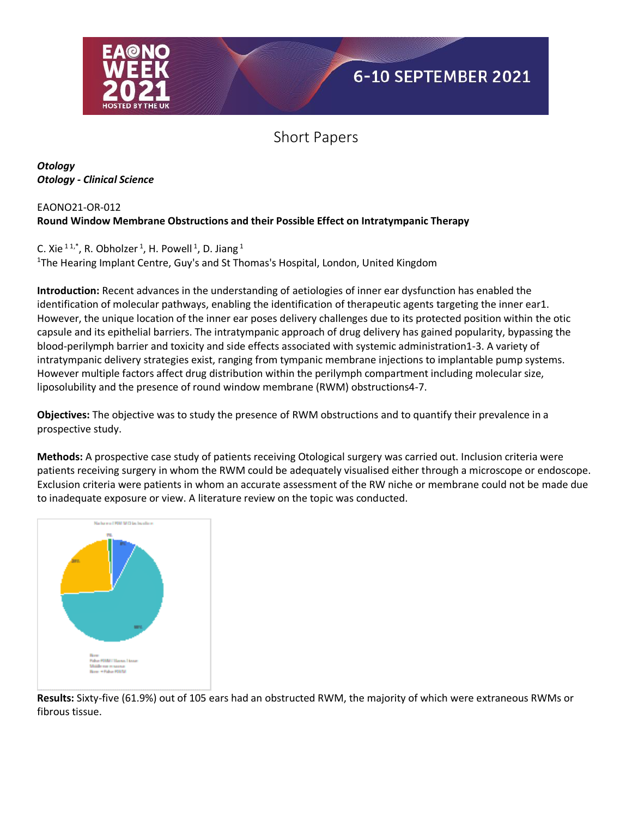

*Otology Otology - Clinical Science*

#### EAONO21-OR-012 **Round Window Membrane Obstructions and their Possible Effect on Intratympanic Therapy**

C. Xie  $11^*$ , R. Obholzer  $1$ , H. Powell  $1$ , D. Jiang  $1$ <sup>1</sup>The Hearing Implant Centre, Guy's and St Thomas's Hospital, London, United Kingdom

**Introduction:** Recent advances in the understanding of aetiologies of inner ear dysfunction has enabled the identification of molecular pathways, enabling the identification of therapeutic agents targeting the inner ear1. However, the unique location of the inner ear poses delivery challenges due to its protected position within the otic capsule and its epithelial barriers. The intratympanic approach of drug delivery has gained popularity, bypassing the blood-perilymph barrier and toxicity and side effects associated with systemic administration1-3. A variety of intratympanic delivery strategies exist, ranging from tympanic membrane injections to implantable pump systems. However multiple factors affect drug distribution within the perilymph compartment including molecular size, liposolubility and the presence of round window membrane (RWM) obstructions4-7.

**Objectives:** The objective was to study the presence of RWM obstructions and to quantify their prevalence in a prospective study.

**Methods:** A prospective case study of patients receiving Otological surgery was carried out. Inclusion criteria were patients receiving surgery in whom the RWM could be adequately visualised either through a microscope or endoscope. Exclusion criteria were patients in whom an accurate assessment of the RW niche or membrane could not be made due to inadequate exposure or view. A literature review on the topic was conducted.



**Results:** Sixty-five (61.9%) out of 105 ears had an obstructed RWM, the majority of which were extraneous RWMs or fibrous tissue.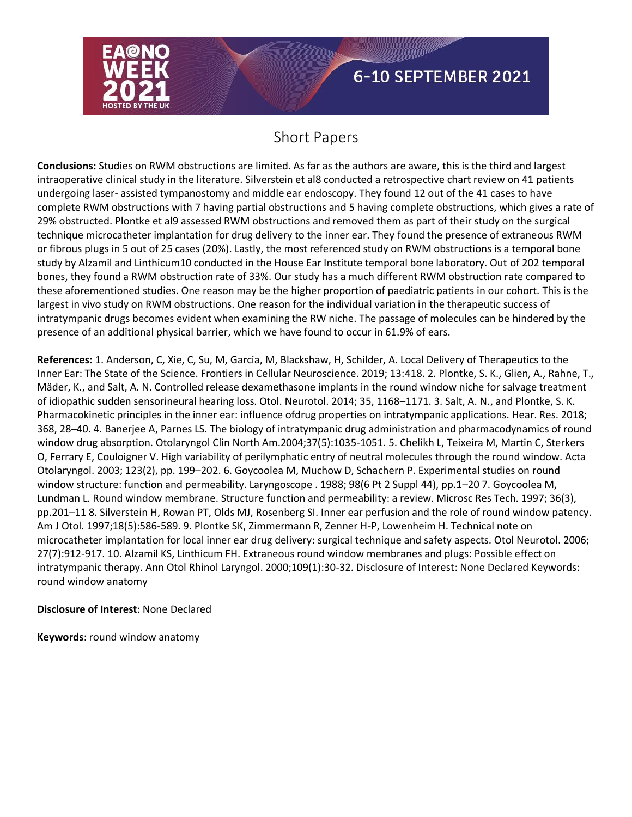

# Short Papers

**Conclusions:** Studies on RWM obstructions are limited. As far as the authors are aware, this is the third and largest intraoperative clinical study in the literature. Silverstein et al8 conducted a retrospective chart review on 41 patients undergoing laser- assisted tympanostomy and middle ear endoscopy. They found 12 out of the 41 cases to have complete RWM obstructions with 7 having partial obstructions and 5 having complete obstructions, which gives a rate of 29% obstructed. Plontke et al9 assessed RWM obstructions and removed them as part of their study on the surgical technique microcatheter implantation for drug delivery to the inner ear. They found the presence of extraneous RWM or fibrous plugs in 5 out of 25 cases (20%). Lastly, the most referenced study on RWM obstructions is a temporal bone study by Alzamil and Linthicum10 conducted in the House Ear Institute temporal bone laboratory. Out of 202 temporal bones, they found a RWM obstruction rate of 33%. Our study has a much different RWM obstruction rate compared to these aforementioned studies. One reason may be the higher proportion of paediatric patients in our cohort. This is the largest in vivo study on RWM obstructions. One reason for the individual variation in the therapeutic success of intratympanic drugs becomes evident when examining the RW niche. The passage of molecules can be hindered by the presence of an additional physical barrier, which we have found to occur in 61.9% of ears.

**References:** 1. Anderson, C, Xie, C, Su, M, Garcia, M, Blackshaw, H, Schilder, A. Local Delivery of Therapeutics to the Inner Ear: The State of the Science. Frontiers in Cellular Neuroscience. 2019; 13:418. 2. Plontke, S. K., Glien, A., Rahne, T., Mäder, K., and Salt, A. N. Controlled release dexamethasone implants in the round window niche for salvage treatment of idiopathic sudden sensorineural hearing loss. Otol. Neurotol. 2014; 35, 1168–1171. 3. Salt, A. N., and Plontke, S. K. Pharmacokinetic principles in the inner ear: influence ofdrug properties on intratympanic applications. Hear. Res. 2018; 368, 28–40. 4. Banerjee A, Parnes LS. The biology of intratympanic drug administration and pharmacodynamics of round window drug absorption. Otolaryngol Clin North Am.2004;37(5):1035-1051. 5. Chelikh L, Teixeira M, Martin C, Sterkers O, Ferrary E, Couloigner V. High variability of perilymphatic entry of neutral molecules through the round window. Acta Otolaryngol. 2003; 123(2), pp. 199–202. 6. Goycoolea M, Muchow D, Schachern P. Experimental studies on round window structure: function and permeability. Laryngoscope . 1988; 98(6 Pt 2 Suppl 44), pp.1–20 7. Goycoolea M, Lundman L. Round window membrane. Structure function and permeability: a review. Microsc Res Tech. 1997; 36(3), pp.201–11 8. Silverstein H, Rowan PT, Olds MJ, Rosenberg SI. Inner ear perfusion and the role of round window patency. Am J Otol. 1997;18(5):586-589. 9. Plontke SK, Zimmermann R, Zenner H-P, Lowenheim H. Technical note on microcatheter implantation for local inner ear drug delivery: surgical technique and safety aspects. Otol Neurotol. 2006; 27(7):912-917. 10. Alzamil KS, Linthicum FH. Extraneous round window membranes and plugs: Possible effect on intratympanic therapy. Ann Otol Rhinol Laryngol. 2000;109(1):30-32. Disclosure of Interest: None Declared Keywords: round window anatomy

#### **Disclosure of Interest**: None Declared

**Keywords**: round window anatomy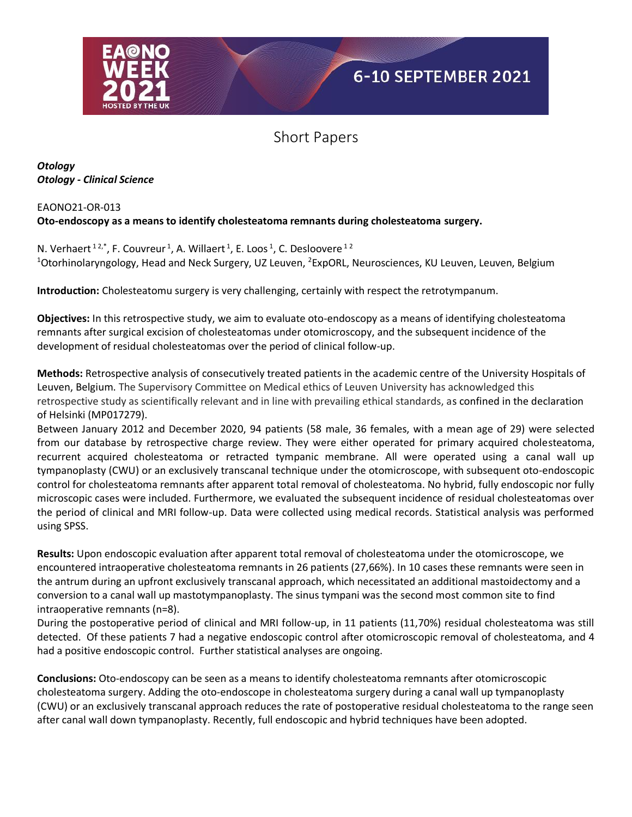

*Otology Otology - Clinical Science*

#### EAONO21-OR-013 **Oto-endoscopy as a means to identify cholesteatoma remnants during cholesteatoma surgery.**

N. Verhaert  $12^*$ , F. Couvreur <sup>1</sup>, A. Willaert <sup>1</sup>, E. Loos <sup>1</sup>, C. Desloovere  $12$ <sup>1</sup>Otorhinolaryngology, Head and Neck Surgery, UZ Leuven, <sup>2</sup>ExpORL, Neurosciences, KU Leuven, Leuven, Belgium

**Introduction:** Cholesteatomu surgery is very challenging, certainly with respect the retrotympanum.

**Objectives:** In this retrospective study, we aim to evaluate oto-endoscopy as a means of identifying cholesteatoma remnants after surgical excision of cholesteatomas under otomicroscopy, and the subsequent incidence of the development of residual cholesteatomas over the period of clinical follow-up.

**Methods:** Retrospective analysis of consecutively treated patients in the academic centre of the University Hospitals of Leuven, Belgium. The Supervisory Committee on Medical ethics of Leuven University has acknowledged this retrospective study as scientifically relevant and in line with prevailing ethical standards, as confined in the declaration of Helsinki (MP017279).

Between January 2012 and December 2020, 94 patients (58 male, 36 females, with a mean age of 29) were selected from our database by retrospective charge review. They were either operated for primary acquired cholesteatoma, recurrent acquired cholesteatoma or retracted tympanic membrane. All were operated using a canal wall up tympanoplasty (CWU) or an exclusively transcanal technique under the otomicroscope, with subsequent oto-endoscopic control for cholesteatoma remnants after apparent total removal of cholesteatoma. No hybrid, fully endoscopic nor fully microscopic cases were included. Furthermore, we evaluated the subsequent incidence of residual cholesteatomas over the period of clinical and MRI follow-up. Data were collected using medical records. Statistical analysis was performed using SPSS.

**Results:** Upon endoscopic evaluation after apparent total removal of cholesteatoma under the otomicroscope, we encountered intraoperative cholesteatoma remnants in 26 patients (27,66%). In 10 cases these remnants were seen in the antrum during an upfront exclusively transcanal approach, which necessitated an additional mastoidectomy and a conversion to a canal wall up mastotympanoplasty. The sinus tympani was the second most common site to find intraoperative remnants (n=8).

During the postoperative period of clinical and MRI follow-up, in 11 patients (11,70%) residual cholesteatoma was still detected. Of these patients 7 had a negative endoscopic control after otomicroscopic removal of cholesteatoma, and 4 had a positive endoscopic control. Further statistical analyses are ongoing.

**Conclusions:** Oto-endoscopy can be seen as a means to identify cholesteatoma remnants after otomicroscopic cholesteatoma surgery. Adding the oto-endoscope in cholesteatoma surgery during a canal wall up tympanoplasty (CWU) or an exclusively transcanal approach reduces the rate of postoperative residual cholesteatoma to the range seen after canal wall down tympanoplasty. Recently, full endoscopic and hybrid techniques have been adopted.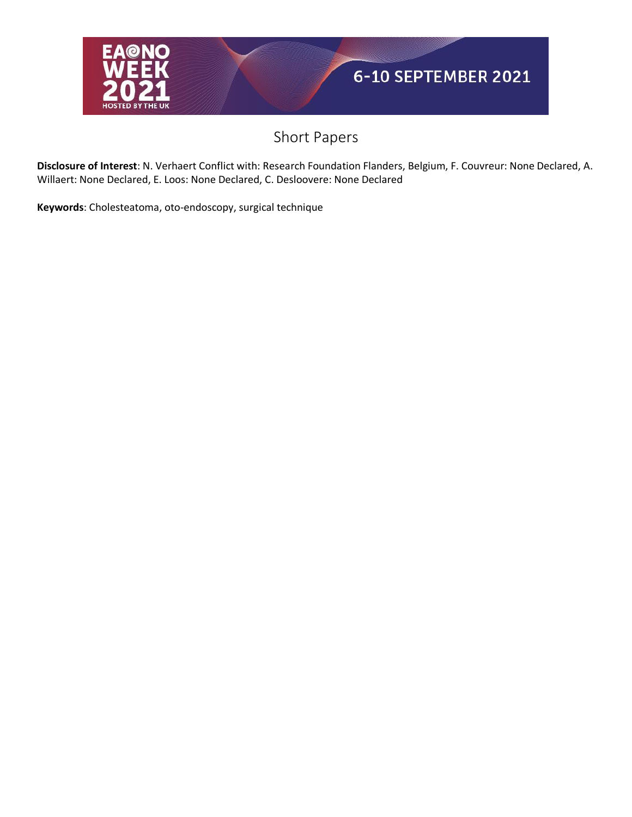

**Disclosure of Interest**: N. Verhaert Conflict with: Research Foundation Flanders, Belgium, F. Couvreur: None Declared, A. Willaert: None Declared, E. Loos: None Declared, C. Desloovere: None Declared

**Keywords**: Cholesteatoma, oto-endoscopy, surgical technique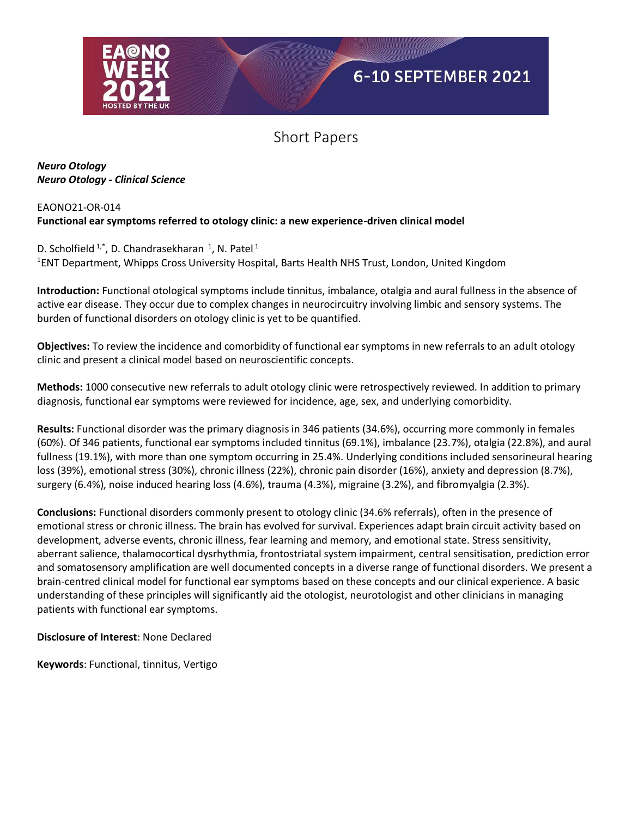

*Neuro Otology Neuro Otology - Clinical Science*

#### EAONO21-OR-014 **Functional ear symptoms referred to otology clinic: a new experience-driven clinical model**

D. Scholfield  $1^*$ , D. Chandrasekharan  $1^$ , N. Patel  $1$ <sup>1</sup>ENT Department, Whipps Cross University Hospital, Barts Health NHS Trust, London, United Kingdom

**Introduction:** Functional otological symptoms include tinnitus, imbalance, otalgia and aural fullness in the absence of active ear disease. They occur due to complex changes in neurocircuitry involving limbic and sensory systems. The burden of functional disorders on otology clinic is yet to be quantified.

**Objectives:** To review the incidence and comorbidity of functional ear symptoms in new referrals to an adult otology clinic and present a clinical model based on neuroscientific concepts.

**Methods:** 1000 consecutive new referrals to adult otology clinic were retrospectively reviewed. In addition to primary diagnosis, functional ear symptoms were reviewed for incidence, age, sex, and underlying comorbidity.

**Results:** Functional disorder was the primary diagnosis in 346 patients (34.6%), occurring more commonly in females (60%). Of 346 patients, functional ear symptoms included tinnitus (69.1%), imbalance (23.7%), otalgia (22.8%), and aural fullness (19.1%), with more than one symptom occurring in 25.4%. Underlying conditions included sensorineural hearing loss (39%), emotional stress (30%), chronic illness (22%), chronic pain disorder (16%), anxiety and depression (8.7%), surgery (6.4%), noise induced hearing loss (4.6%), trauma (4.3%), migraine (3.2%), and fibromyalgia (2.3%).

**Conclusions:** Functional disorders commonly present to otology clinic (34.6% referrals), often in the presence of emotional stress or chronic illness. The brain has evolved for survival. Experiences adapt brain circuit activity based on development, adverse events, chronic illness, fear learning and memory, and emotional state. Stress sensitivity, aberrant salience, thalamocortical dysrhythmia, frontostriatal system impairment, central sensitisation, prediction error and somatosensory amplification are well documented concepts in a diverse range of functional disorders. We present a brain-centred clinical model for functional ear symptoms based on these concepts and our clinical experience. A basic understanding of these principles will significantly aid the otologist, neurotologist and other clinicians in managing patients with functional ear symptoms.

**Disclosure of Interest**: None Declared

**Keywords**: Functional, tinnitus, Vertigo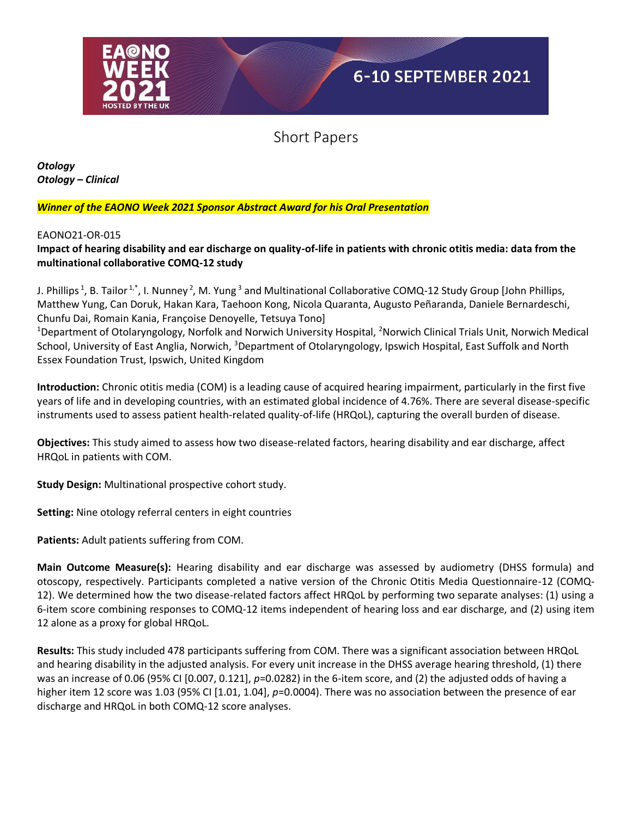

*Otology Otology – Clinical*

#### *Winner of the EAONO Week 2021 Sponsor Abstract Award for his Oral Presentation*

#### EAONO21-OR-015

**Impact of hearing disability and ear discharge on quality-of-life in patients with chronic otitis media: data from the multinational collaborative COMQ-12 study**

J. Phillips<sup>1</sup>, B. Tailor<sup>1,\*</sup>, I. Nunney<sup>2</sup>, M. Yung<sup>3</sup> and Multinational Collaborative COMQ-12 Study Group [John Phillips, Matthew Yung, Can Doruk, Hakan Kara, Taehoon Kong, Nicola Quaranta, Augusto Peñaranda, Daniele Bernardeschi, Chunfu Dai, Romain Kania, Françoise Denoyelle, Tetsuya Tono]

<sup>1</sup>Department of Otolaryngology, Norfolk and Norwich University Hospital, <sup>2</sup>Norwich Clinical Trials Unit, Norwich Medical School, University of East Anglia, Norwich, <sup>3</sup>Department of Otolaryngology, Ipswich Hospital, East Suffolk and North Essex Foundation Trust, Ipswich, United Kingdom

**Introduction:** Chronic otitis media (COM) is a leading cause of acquired hearing impairment, particularly in the first five years of life and in developing countries, with an estimated global incidence of 4.76%. There are several disease-specific instruments used to assess patient health-related quality-of-life (HRQoL), capturing the overall burden of disease.

**Objectives:** This study aimed to assess how two disease-related factors, hearing disability and ear discharge, affect HRQoL in patients with COM.

**Study Design:** Multinational prospective cohort study.

**Setting:** Nine otology referral centers in eight countries

**Patients:** Adult patients suffering from COM.

**Main Outcome Measure(s):** Hearing disability and ear discharge was assessed by audiometry (DHSS formula) and otoscopy, respectively. Participants completed a native version of the Chronic Otitis Media Questionnaire-12 (COMQ-12). We determined how the two disease-related factors affect HRQoL by performing two separate analyses: (1) using a 6-item score combining responses to COMQ-12 items independent of hearing loss and ear discharge, and (2) using item 12 alone as a proxy for global HRQoL.

**Results:** This study included 478 participants suffering from COM. There was a significant association between HRQoL and hearing disability in the adjusted analysis. For every unit increase in the DHSS average hearing threshold, (1) there was an increase of 0.06 (95% CI [0.007, 0.121], *p*=0.0282) in the 6-item score, and (2) the adjusted odds of having a higher item 12 score was 1.03 (95% CI [1.01, 1.04], *p*=0.0004). There was no association between the presence of ear discharge and HRQoL in both COMQ-12 score analyses.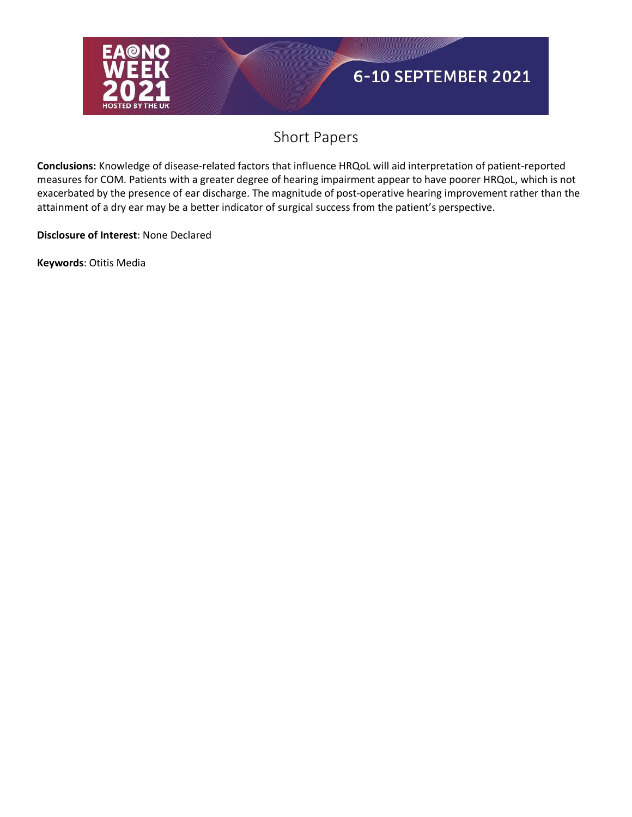

**Conclusions:** Knowledge of disease-related factors that influence HRQoL will aid interpretation of patient-reported measures for COM. Patients with a greater degree of hearing impairment appear to have poorer HRQoL, which is not exacerbated by the presence of ear discharge. The magnitude of post-operative hearing improvement rather than the attainment of a dry ear may be a better indicator of surgical success from the patient's perspective.

**Disclosure of Interest**: None Declared

**Keywords**: Otitis Media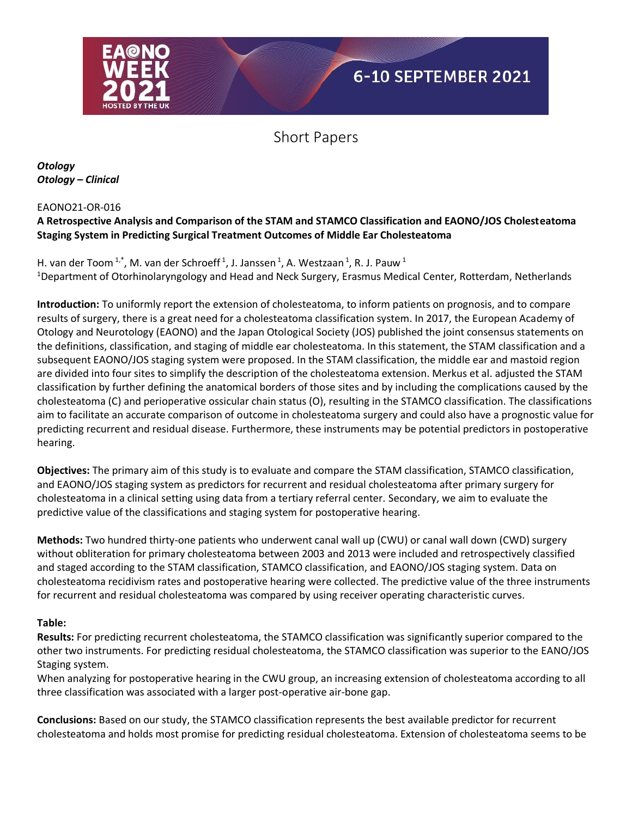

## Short Papers

*Otology Otology – Clinical*

EAONO21-OR-016

#### **A Retrospective Analysis and Comparison of the STAM and STAMCO Classification and EAONO/JOS Cholesteatoma Staging System in Predicting Surgical Treatment Outcomes of Middle Ear Cholesteatoma**

H. van der Toom  $1^*$ , M. van der Schroeff  $^1$ , J. Janssen  $^1$ , A. Westzaan  $^1$ , R. J. Pauw  $^1$ <sup>1</sup>Department of Otorhinolaryngology and Head and Neck Surgery, Erasmus Medical Center, Rotterdam, Netherlands

**Introduction:** To uniformly report the extension of cholesteatoma, to inform patients on prognosis, and to compare results of surgery, there is a great need for a cholesteatoma classification system. In 2017, the European Academy of Otology and Neurotology (EAONO) and the Japan Otological Society (JOS) published the joint consensus statements on the definitions, classification, and staging of middle ear cholesteatoma. In this statement, the STAM classification and a subsequent EAONO/JOS staging system were proposed. In the STAM classification, the middle ear and mastoid region are divided into four sites to simplify the description of the cholesteatoma extension. Merkus et al. adjusted the STAM classification by further defining the anatomical borders of those sites and by including the complications caused by the cholesteatoma (C) and perioperative ossicular chain status (O), resulting in the STAMCO classification. The classifications aim to facilitate an accurate comparison of outcome in cholesteatoma surgery and could also have a prognostic value for predicting recurrent and residual disease. Furthermore, these instruments may be potential predictors in postoperative hearing.

**Objectives:** The primary aim of this study is to evaluate and compare the STAM classification, STAMCO classification, and EAONO/JOS staging system as predictors for recurrent and residual cholesteatoma after primary surgery for cholesteatoma in a clinical setting using data from a tertiary referral center. Secondary, we aim to evaluate the predictive value of the classifications and staging system for postoperative hearing.

**Methods:** Two hundred thirty-one patients who underwent canal wall up (CWU) or canal wall down (CWD) surgery without obliteration for primary cholesteatoma between 2003 and 2013 were included and retrospectively classified and staged according to the STAM classification, STAMCO classification, and EAONO/JOS staging system. Data on cholesteatoma recidivism rates and postoperative hearing were collected. The predictive value of the three instruments for recurrent and residual cholesteatoma was compared by using receiver operating characteristic curves.

#### **Table:**

**Results:** For predicting recurrent cholesteatoma, the STAMCO classification was significantly superior compared to the other two instruments. For predicting residual cholesteatoma, the STAMCO classification was superior to the EANO/JOS Staging system.

When analyzing for postoperative hearing in the CWU group, an increasing extension of cholesteatoma according to all three classification was associated with a larger post-operative air-bone gap.

**Conclusions:** Based on our study, the STAMCO classification represents the best available predictor for recurrent cholesteatoma and holds most promise for predicting residual cholesteatoma. Extension of cholesteatoma seems to be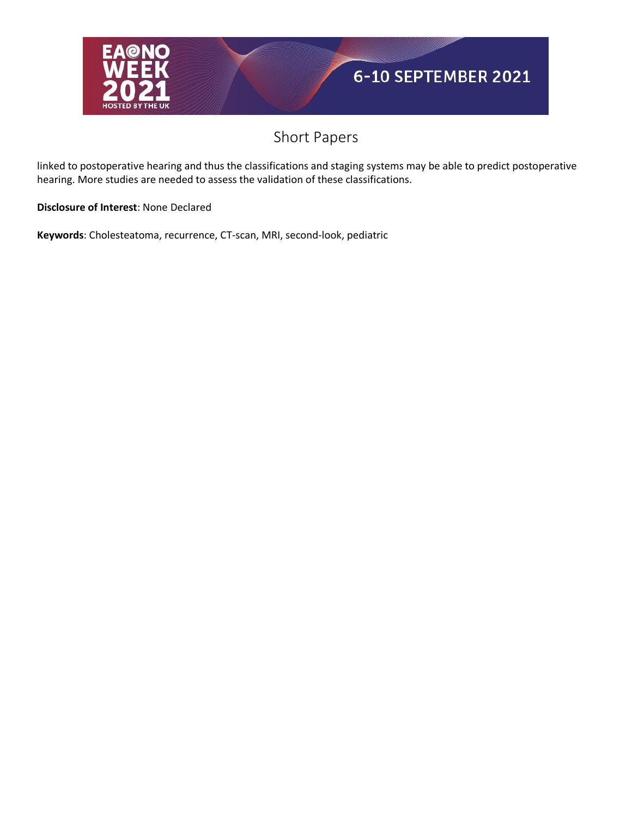

linked to postoperative hearing and thus the classifications and staging systems may be able to predict postoperative hearing. More studies are needed to assess the validation of these classifications.

**Disclosure of Interest**: None Declared

**Keywords**: Cholesteatoma, recurrence, CT-scan, MRI, second-look, pediatric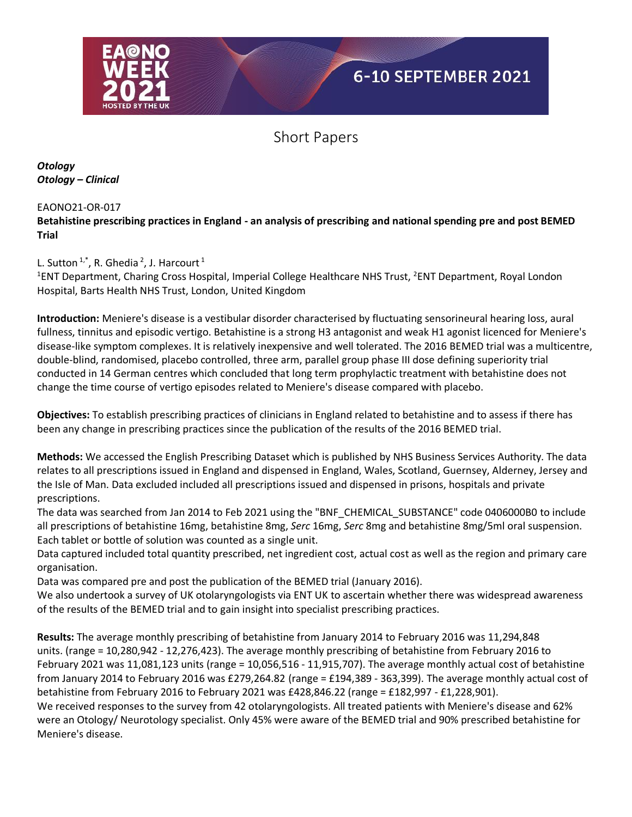

### Short Papers

*Otology Otology – Clinical*

#### EAONO21-OR-017

#### **Betahistine prescribing practices in England - an analysis of prescribing and national spending pre and post BEMED Trial**

#### L. Sutton  $1^*$ , R. Ghedia <sup>2</sup>, J. Harcourt  $1$

<sup>1</sup>ENT Department, Charing Cross Hospital, Imperial College Healthcare NHS Trust, <sup>2</sup>ENT Department, Royal London Hospital, Barts Health NHS Trust, London, United Kingdom

**Introduction:** Meniere's disease is a vestibular disorder characterised by fluctuating sensorineural hearing loss, aural fullness, tinnitus and episodic vertigo. Betahistine is a strong H3 antagonist and weak H1 agonist licenced for Meniere's disease-like symptom complexes. It is relatively inexpensive and well tolerated. The 2016 BEMED trial was a multicentre, double-blind, randomised, placebo controlled, three arm, parallel group phase III dose defining superiority trial conducted in 14 German centres which concluded that long term prophylactic treatment with betahistine does not change the time course of vertigo episodes related to Meniere's disease compared with placebo.

**Objectives:** To establish prescribing practices of clinicians in England related to betahistine and to assess if there has been any change in prescribing practices since the publication of the results of the 2016 BEMED trial.

**Methods:** We accessed the English Prescribing Dataset which is published by NHS Business Services Authority. The data relates to all prescriptions issued in England and dispensed in England, Wales, Scotland, Guernsey, Alderney, Jersey and the Isle of Man. Data excluded included all prescriptions issued and dispensed in prisons, hospitals and private prescriptions.

The data was searched from Jan 2014 to Feb 2021 using the "BNF\_CHEMICAL\_SUBSTANCE" code 0406000B0 to include all prescriptions of betahistine 16mg, betahistine 8mg, *Serc* 16mg, *Serc* 8mg and betahistine 8mg/5ml oral suspension. Each tablet or bottle of solution was counted as a single unit.

Data captured included total quantity prescribed, net ingredient cost, actual cost as well as the region and primary care organisation.

Data was compared pre and post the publication of the BEMED trial (January 2016).

We also undertook a survey of UK otolaryngologists via ENT UK to ascertain whether there was widespread awareness of the results of the BEMED trial and to gain insight into specialist prescribing practices.

**Results:** The average monthly prescribing of betahistine from January 2014 to February 2016 was 11,294,848 units. (range = 10,280,942 - 12,276,423). The average monthly prescribing of betahistine from February 2016 to February 2021 was 11,081,123 units (range = 10,056,516 - 11,915,707). The average monthly actual cost of betahistine from January 2014 to February 2016 was £279,264.82 (range = £194,389 - 363,399). The average monthly actual cost of betahistine from February 2016 to February 2021 was £428,846.22 (range = £182,997 - £1,228,901). We received responses to the survey from 42 otolaryngologists. All treated patients with Meniere's disease and 62% were an Otology/ Neurotology specialist. Only 45% were aware of the BEMED trial and 90% prescribed betahistine for

Meniere's disease.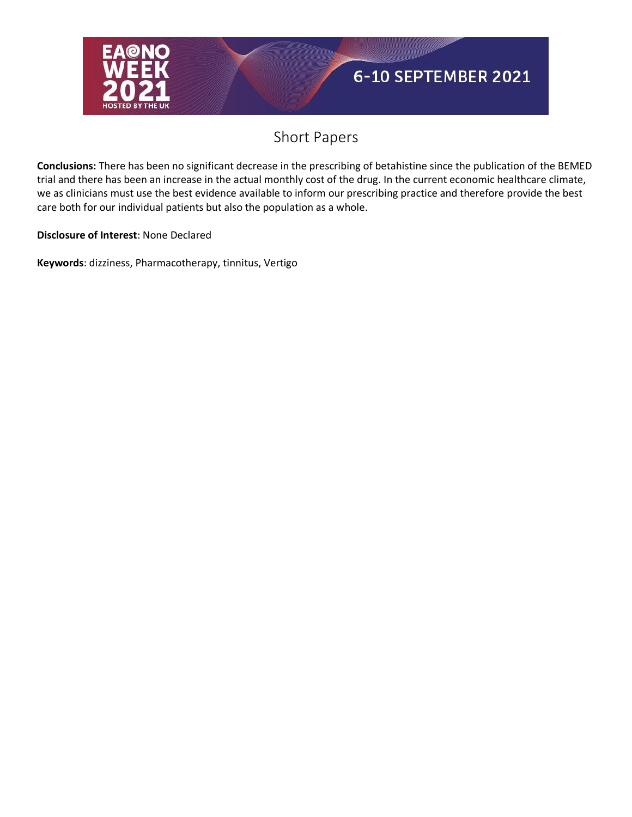

**Conclusions:** There has been no significant decrease in the prescribing of betahistine since the publication of the BEMED trial and there has been an increase in the actual monthly cost of the drug. In the current economic healthcare climate, we as clinicians must use the best evidence available to inform our prescribing practice and therefore provide the best care both for our individual patients but also the population as a whole.

**Disclosure of Interest**: None Declared

**Keywords**: dizziness, Pharmacotherapy, tinnitus, Vertigo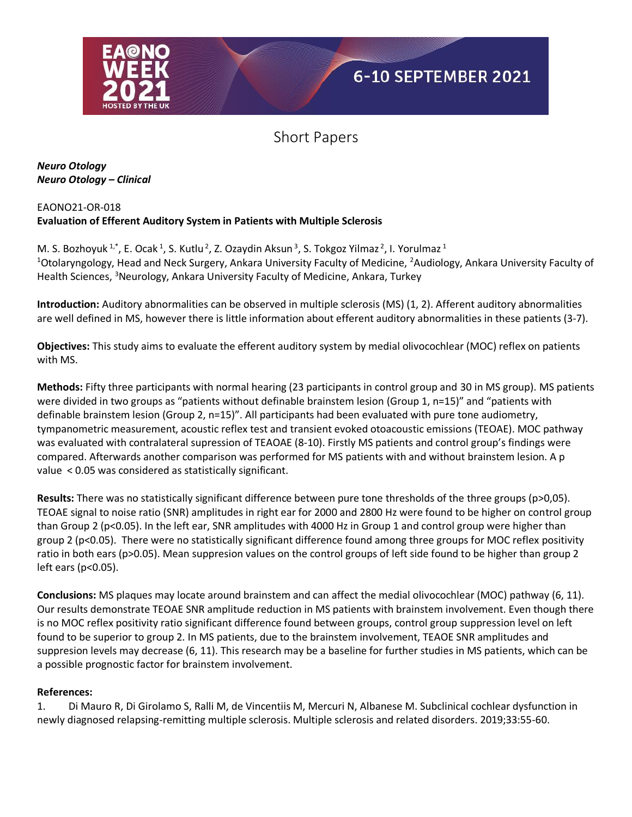

#### *Neuro Otology Neuro Otology – Clinical*

#### EAONO21-OR-018 **Evaluation of Efferent Auditory System in Patients with Multiple Sclerosis**

M. S. Bozhoyuk $^{1,*}$ , E. Ocak $^1$ , S. Kutlu $^2$ , Z. Ozaydin Aksun $^3$ , S. Tokgoz Yilmaz $^2$ , I. Yorulmaz $^1$  $1$ Otolaryngology, Head and Neck Surgery, Ankara University Faculty of Medicine,  $2$ Audiology, Ankara University Faculty of Health Sciences, <sup>3</sup>Neurology, Ankara University Faculty of Medicine, Ankara, Turkey

**Introduction:** Auditory abnormalities can be observed in multiple sclerosis (MS) (1, 2). Afferent auditory abnormalities are well defined in MS, however there is little information about efferent auditory abnormalities in these patients (3-7).

**Objectives:** This study aims to evaluate the efferent auditory system by medial olivocochlear (MOC) reflex on patients with MS.

**Methods:** Fifty three participants with normal hearing (23 participants in control group and 30 in MS group). MS patients were divided in two groups as "patients without definable brainstem lesion (Group 1, n=15)" and "patients with definable brainstem lesion (Group 2, n=15)". All participants had been evaluated with pure tone audiometry, tympanometric measurement, acoustic reflex test and transient evoked otoacoustic emissions (TEOAE). MOC pathway was evaluated with contralateral supression of TEAOAE (8-10). Firstly MS patients and control group's findings were compared. Afterwards another comparison was performed for MS patients with and without brainstem lesion. A p value < 0.05 was considered as statistically significant.

**Results:** There was no statistically significant difference between pure tone thresholds of the three groups (p>0,05). TEOAE signal to noise ratio (SNR) amplitudes in right ear for 2000 and 2800 Hz were found to be higher on control group than Group 2 (p<0.05). In the left ear, SNR amplitudes with 4000 Hz in Group 1 and control group were higher than group 2 (p<0.05). There were no statistically significant difference found among three groups for MOC reflex positivity ratio in both ears (p>0.05). Mean suppresion values on the control groups of left side found to be higher than group 2 left ears (p<0.05).

**Conclusions:** MS plaques may locate around brainstem and can affect the medial olivocochlear (MOC) pathway (6, 11). Our results demonstrate TEOAE SNR amplitude reduction in MS patients with brainstem involvement. Even though there is no MOC reflex positivity ratio significant difference found between groups, control group suppression level on left found to be superior to group 2. In MS patients, due to the brainstem involvement, TEAOE SNR amplitudes and suppresion levels may decrease (6, 11). This research may be a baseline for further studies in MS patients, which can be a possible prognostic factor for brainstem involvement.

#### **References:**

1. Di Mauro R, Di Girolamo S, Ralli M, de Vincentiis M, Mercuri N, Albanese M. Subclinical cochlear dysfunction in newly diagnosed relapsing-remitting multiple sclerosis. Multiple sclerosis and related disorders. 2019;33:55-60.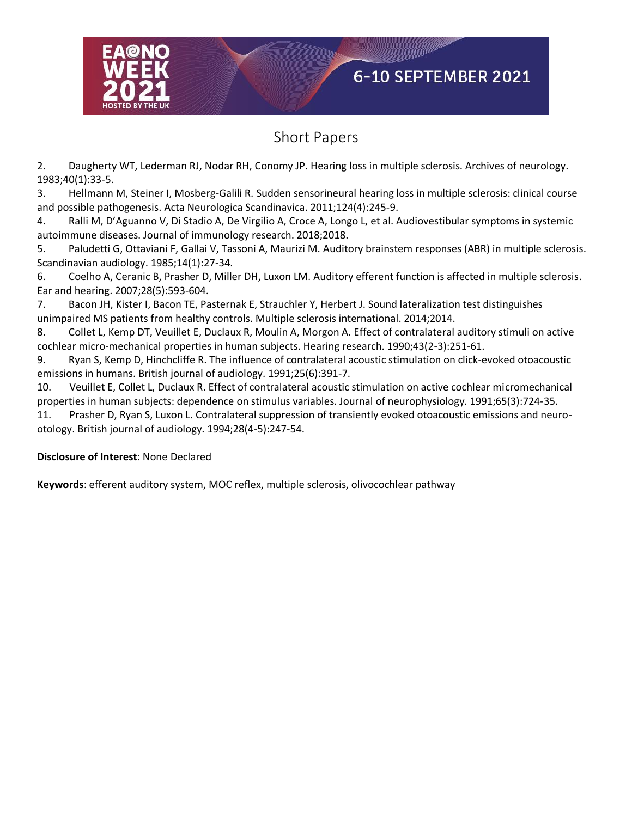

2. Daugherty WT, Lederman RJ, Nodar RH, Conomy JP. Hearing loss in multiple sclerosis. Archives of neurology. 1983;40(1):33-5.

3. Hellmann M, Steiner I, Mosberg‐Galili R. Sudden sensorineural hearing loss in multiple sclerosis: clinical course and possible pathogenesis. Acta Neurologica Scandinavica. 2011;124(4):245-9.

4. Ralli M, D'Aguanno V, Di Stadio A, De Virgilio A, Croce A, Longo L, et al. Audiovestibular symptoms in systemic autoimmune diseases. Journal of immunology research. 2018;2018.

5. Paludetti G, Ottaviani F, Gallai V, Tassoni A, Maurizi M. Auditory brainstem responses (ABR) in multiple sclerosis. Scandinavian audiology. 1985;14(1):27-34.

6. Coelho A, Ceranic B, Prasher D, Miller DH, Luxon LM. Auditory efferent function is affected in multiple sclerosis. Ear and hearing. 2007;28(5):593-604.

7. Bacon JH, Kister I, Bacon TE, Pasternak E, Strauchler Y, Herbert J. Sound lateralization test distinguishes unimpaired MS patients from healthy controls. Multiple sclerosis international. 2014;2014.

8. Collet L, Kemp DT, Veuillet E, Duclaux R, Moulin A, Morgon A. Effect of contralateral auditory stimuli on active cochlear micro-mechanical properties in human subjects. Hearing research. 1990;43(2-3):251-61.

9. Ryan S, Kemp D, Hinchcliffe R. The influence of contralateral acoustic stimulation on click-evoked otoacoustic emissions in humans. British journal of audiology. 1991;25(6):391-7.

10. Veuillet E, Collet L, Duclaux R. Effect of contralateral acoustic stimulation on active cochlear micromechanical properties in human subjects: dependence on stimulus variables. Journal of neurophysiology. 1991;65(3):724-35.

11. Prasher D, Ryan S, Luxon L. Contralateral suppression of transiently evoked otoacoustic emissions and neurootology. British journal of audiology. 1994;28(4-5):247-54.

#### **Disclosure of Interest**: None Declared

**Keywords**: efferent auditory system, MOC reflex, multiple sclerosis, olivocochlear pathway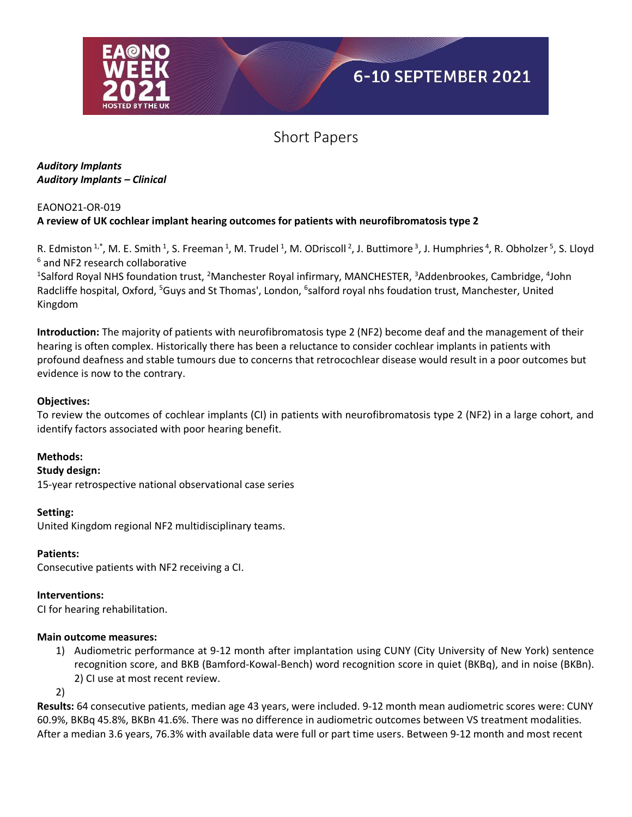

## Short Papers

#### *Auditory Implants Auditory Implants – Clinical*

#### EAONO21-OR-019 **A review of UK cochlear implant hearing outcomes for patients with neurofibromatosis type 2**

R. Edmiston <sup>1,\*</sup>, M. E. Smith <sup>1</sup>, S. Freeman <sup>1</sup>, M. Trudel <sup>1</sup>, M. ODriscoll <sup>2</sup>, J. Buttimore <sup>3</sup>, J. Humphries <sup>4</sup>, R. Obholzer <sup>5</sup>, S. Lloyd <sup>6</sup> and NF2 research collaborative

<sup>1</sup>Salford Royal NHS foundation trust, <sup>2</sup>Manchester Royal infirmary, MANCHESTER, <sup>3</sup>Addenbrookes, Cambridge, <sup>4</sup>John Radcliffe hospital, Oxford, <sup>5</sup>Guys and St Thomas', London, <sup>6</sup>salford royal nhs foudation trust, Manchester, United Kingdom

**Introduction:** The majority of patients with neurofibromatosis type 2 (NF2) become deaf and the management of their hearing is often complex. Historically there has been a reluctance to consider cochlear implants in patients with profound deafness and stable tumours due to concerns that retrocochlear disease would result in a poor outcomes but evidence is now to the contrary.

#### **Objectives:**

To review the outcomes of cochlear implants (CI) in patients with neurofibromatosis type 2 (NF2) in a large cohort, and identify factors associated with poor hearing benefit.

#### **Methods:**

#### **Study design:**

15-year retrospective national observational case series

#### **Setting:**

United Kingdom regional NF2 multidisciplinary teams.

#### **Patients:**

Consecutive patients with NF2 receiving a CI.

#### **Interventions:**

CI for hearing rehabilitation.

#### **Main outcome measures:**

1) Audiometric performance at 9-12 month after implantation using CUNY (City University of New York) sentence recognition score, and BKB (Bamford-Kowal-Bench) word recognition score in quiet (BKBq), and in noise (BKBn). 2) CI use at most recent review.

2)

**Results:** 64 consecutive patients, median age 43 years, were included. 9-12 month mean audiometric scores were: CUNY 60.9%, BKBq 45.8%, BKBn 41.6%. There was no difference in audiometric outcomes between VS treatment modalities. After a median 3.6 years, 76.3% with available data were full or part time users. Between 9-12 month and most recent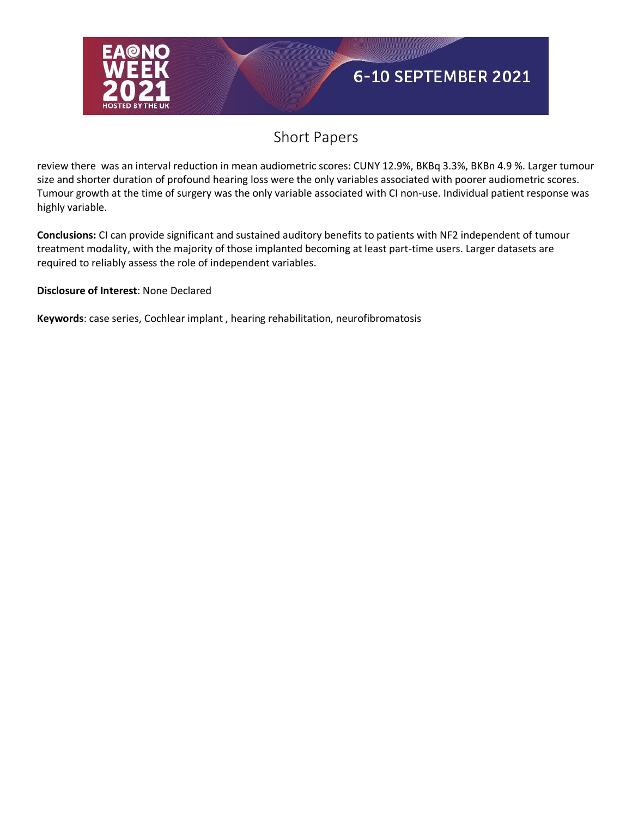

review there was an interval reduction in mean audiometric scores: CUNY 12.9%, BKBq 3.3%, BKBn 4.9 %. Larger tumour size and shorter duration of profound hearing loss were the only variables associated with poorer audiometric scores. Tumour growth at the time of surgery was the only variable associated with CI non-use. Individual patient response was highly variable.

**Conclusions:** CI can provide significant and sustained auditory benefits to patients with NF2 independent of tumour treatment modality, with the majority of those implanted becoming at least part-time users. Larger datasets are required to reliably assess the role of independent variables.

**Disclosure of Interest**: None Declared

**Keywords**: case series, Cochlear implant , hearing rehabilitation, neurofibromatosis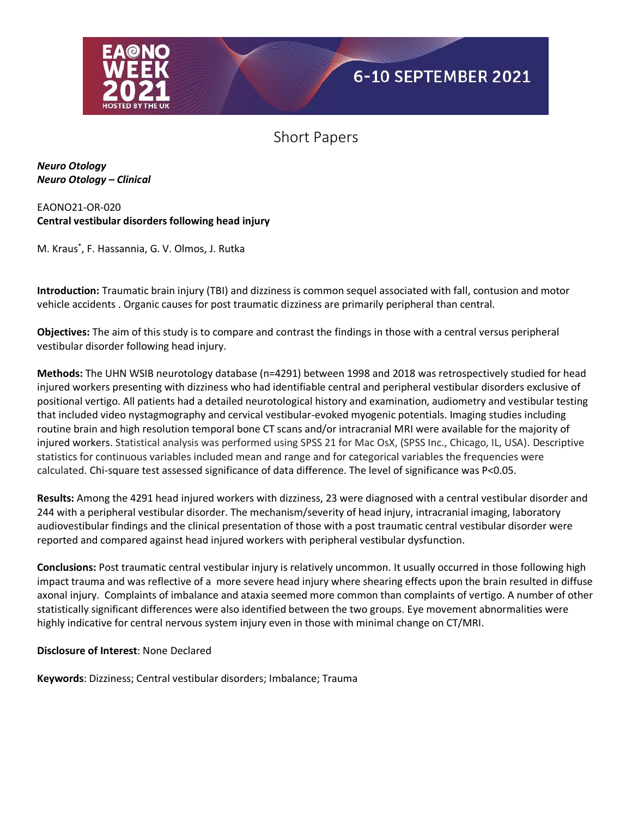

*Neuro Otology Neuro Otology – Clinical*

#### EAONO21-OR-020 **Central vestibular disorders following head injury**

M. Kraus\* , F. Hassannia, G. V. Olmos, J. Rutka

**Introduction:** Traumatic brain injury (TBI) and dizziness is common sequel associated with fall, contusion and motor vehicle accidents . Organic causes for post traumatic dizziness are primarily peripheral than central.

**Objectives:** The aim of this study is to compare and contrast the findings in those with a central versus peripheral vestibular disorder following head injury.

**Methods:** The UHN WSIB neurotology database (n=4291) between 1998 and 2018 was retrospectively studied for head injured workers presenting with dizziness who had identifiable central and peripheral vestibular disorders exclusive of positional vertigo. All patients had a detailed neurotological history and examination, audiometry and vestibular testing that included video nystagmography and cervical vestibular-evoked myogenic potentials. Imaging studies including routine brain and high resolution temporal bone CT scans and/or intracranial MRI were available for the majority of injured workers. Statistical analysis was performed using SPSS 21 for Mac OsX, (SPSS Inc., Chicago, IL, USA). Descriptive statistics for continuous variables included mean and range and for categorical variables the frequencies were calculated. Chi-square test assessed significance of data difference. The level of significance was P<0.05.

**Results:** Among the 4291 head injured workers with dizziness, 23 were diagnosed with a central vestibular disorder and 244 with a peripheral vestibular disorder. The mechanism/severity of head injury, intracranial imaging, laboratory audiovestibular findings and the clinical presentation of those with a post traumatic central vestibular disorder were reported and compared against head injured workers with peripheral vestibular dysfunction.

**Conclusions:** Post traumatic central vestibular injury is relatively uncommon. It usually occurred in those following high impact trauma and was reflective of a more severe head injury where shearing effects upon the brain resulted in diffuse axonal injury. Complaints of imbalance and ataxia seemed more common than complaints of vertigo. A number of other statistically significant differences were also identified between the two groups. Eye movement abnormalities were highly indicative for central nervous system injury even in those with minimal change on CT/MRI.

#### **Disclosure of Interest**: None Declared

**Keywords**: Dizziness; Central vestibular disorders; Imbalance; Trauma